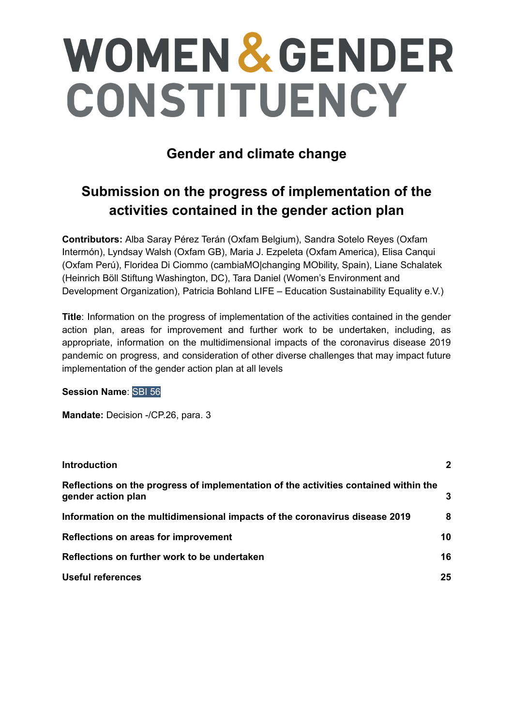# **WOMEN & GENDER** CONSTITUENCY

### **Gender and climate change**

## **Submission on the progress of implementation of the activities contained in the gender action plan**

**Contributors:** Alba Saray Pérez Terán (Oxfam Belgium), Sandra Sotelo Reyes (Oxfam Intermón), Lyndsay Walsh (Oxfam GB), Maria J. Ezpeleta (Oxfam America), Elisa Canqui (Oxfam Perú), Floridea Di Ciommo (cambiaMO|changing MObility, Spain), Liane Schalatek (Heinrich Böll Stiftung Washington, DC), Tara Daniel (Women's Environment and Development Organization), Patricia Bohland LIFE – Education Sustainability Equality e.V.)

**Title**: Information on the progress of implementation of the activities contained in the gender action plan, areas for improvement and further work to be undertaken, including, as appropriate, information on the multidimensional impacts of the coronavirus disease 2019 pandemic on progress, and consideration of other diverse challenges that may impact future implementation of the gender action plan at all levels

#### **Session Name**: SBI 56

**Mandate:** Decision -/CP.26, para. 3

| <b>Introduction</b>                                                                                        | $\mathbf{2}$ |
|------------------------------------------------------------------------------------------------------------|--------------|
| Reflections on the progress of implementation of the activities contained within the<br>gender action plan | 3            |
| Information on the multidimensional impacts of the coronavirus disease 2019                                | 8            |
| Reflections on areas for improvement                                                                       | 10           |
| Reflections on further work to be undertaken                                                               | 16           |
| <b>Useful references</b>                                                                                   | 25           |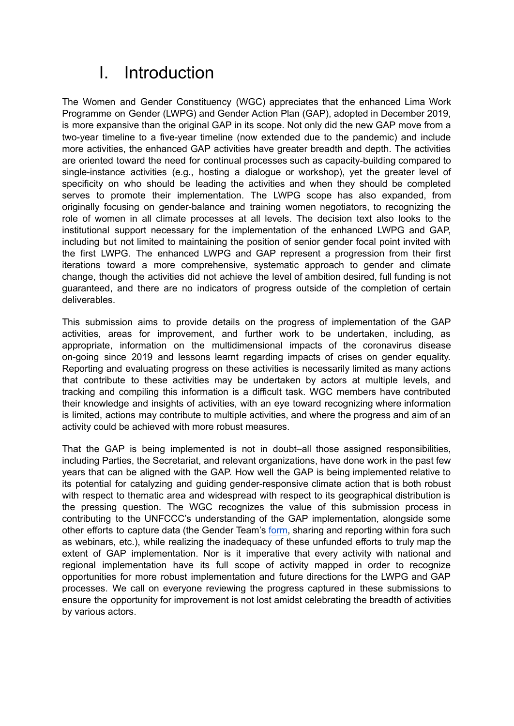## I. Introduction

<span id="page-1-0"></span>The Women and Gender Constituency (WGC) appreciates that the enhanced Lima Work Programme on Gender (LWPG) and Gender Action Plan (GAP), adopted in December 2019, is more expansive than the original GAP in its scope. Not only did the new GAP move from a two-year timeline to a five-year timeline (now extended due to the pandemic) and include more activities, the enhanced GAP activities have greater breadth and depth. The activities are oriented toward the need for continual processes such as capacity-building compared to single-instance activities (e.g., hosting a dialogue or workshop), yet the greater level of specificity on who should be leading the activities and when they should be completed serves to promote their implementation. The LWPG scope has also expanded, from originally focusing on gender-balance and training women negotiators, to recognizing the role of women in all climate processes at all levels. The decision text also looks to the institutional support necessary for the implementation of the enhanced LWPG and GAP, including but not limited to maintaining the position of senior gender focal point invited with the first LWPG. The enhanced LWPG and GAP represent a progression from their first iterations toward a more comprehensive, systematic approach to gender and climate change, though the activities did not achieve the level of ambition desired, full funding is not guaranteed, and there are no indicators of progress outside of the completion of certain deliverables.

This submission aims to provide details on the progress of implementation of the GAP activities, areas for improvement, and further work to be undertaken, including, as appropriate, information on the multidimensional impacts of the coronavirus disease on-going since 2019 and lessons learnt regarding impacts of crises on gender equality. Reporting and evaluating progress on these activities is necessarily limited as many actions that contribute to these activities may be undertaken by actors at multiple levels, and tracking and compiling this information is a difficult task. WGC members have contributed their knowledge and insights of activities, with an eye toward recognizing where information is limited, actions may contribute to multiple activities, and where the progress and aim of an activity could be achieved with more robust measures.

That the GAP is being implemented is not in doubt–all those assigned responsibilities, including Parties, the Secretariat, and relevant organizations, have done work in the past few years that can be aligned with the GAP. How well the GAP is being implemented relative to its potential for catalyzing and guiding gender-responsive climate action that is both robust with respect to thematic area and widespread with respect to its geographical distribution is the pressing question. The WGC recognizes the value of this submission process in contributing to the UNFCCC's understanding of the GAP implementation, alongside some other efforts to capture data (the Gender Team's [form,](https://unfccc.int/topics/gender/workstreams/supporting-the-implementation-of-3CP25#eq-3) sharing and reporting within fora such as webinars, etc.), while realizing the inadequacy of these unfunded efforts to truly map the extent of GAP implementation. Nor is it imperative that every activity with national and regional implementation have its full scope of activity mapped in order to recognize opportunities for more robust implementation and future directions for the LWPG and GAP processes. We call on everyone reviewing the progress captured in these submissions to ensure the opportunity for improvement is not lost amidst celebrating the breadth of activities by various actors.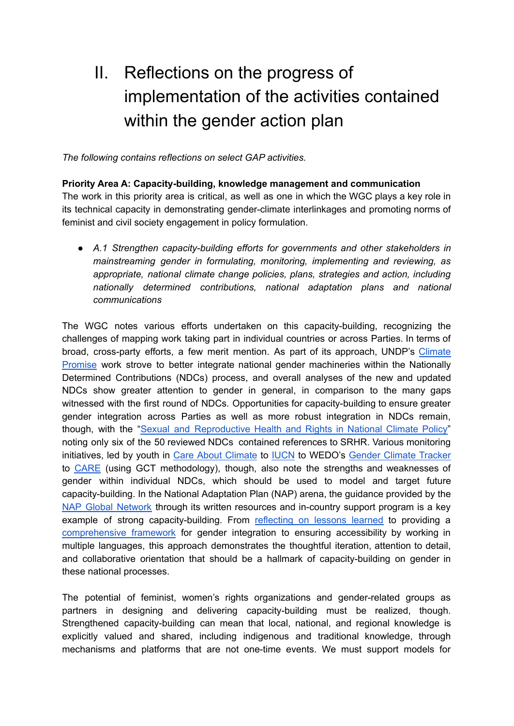# II. Reflections on the progress of implementation of the activities contained within the gender action plan

<span id="page-2-0"></span>*The following contains reflections on select GAP activities.*

**Priority Area A: Capacity-building, knowledge management and communication** The work in this priority area is critical, as well as one in which the WGC plays a key role in its technical capacity in demonstrating gender-climate interlinkages and promoting norms of feminist and civil society engagement in policy formulation.

*● A.1 Strengthen capacity-building efforts for governments and other stakeholders in mainstreaming gender in formulating, monitoring, implementing and reviewing, as appropriate, national climate change policies, plans, strategies and action, including nationally determined contributions, national adaptation plans and national communications*

The WGC notes various efforts undertaken on this capacity-building, recognizing the challenges of mapping work taking part in individual countries or across Parties. In terms of broad, cross-party efforts, a few merit mention. As part of its approach, UNDP's [Climate](https://climatepromise.undp.org/) [Promise](https://climatepromise.undp.org/) work strove to better integrate national gender machineries within the Nationally Determined Contributions (NDCs) process, and overall analyses of the new and updated NDCs show greater attention to gender in general, in comparison to the many gaps witnessed with the first round of NDCs. Opportunities for capacity-building to ensure greater gender integration across Parties as well as more robust integration in NDCs remain, though, with the "Sexual and [Reproductive](https://esaro.unfpa.org/en/publications/sexual-and-reproductive-health-and-rights-national-climate-policy) Health and Rights in National Climate Policy" noting only six of the 50 reviewed NDCs contained references to SRHR. Various monitoring initiatives, led by youth in Care About [Climate](https://www.careaboutclimate.org/ndc-resource-bank) to [IUCN](https://genderandenvironment.org/gender-and-ndcs-2021/) to WEDO's Gender [Climate](https://www.genderclimatetracker.org/country-profiles) Tracker to [CARE](https://careclimatechange.org/report-card-update-where-is-gender-equality-in-national-climate-plans-ndcs-june-2021/) (using GCT methodology), though, also note the strengths and weaknesses of gender within individual NDCs, which should be used to model and target future capacity-building. In the National Adaptation Plan (NAP) arena, the guidance provided by the NAP Global [Network](https://napglobalnetwork.org/themes/gender/) through its written resources and in-country support program is a key example of strong capacity-building. From [reflecting](https://napglobalnetwork.org/resource/conducting-gender-analysis-to-inform-nap-processes-reflections-from-six-african-countries/) on lessons learned to providing a [comprehensive](https://napglobalnetwork.org/resource/toolkit-for-gender-responsive-national-adaptation-plans/) framework for gender integration to ensuring accessibility by working in multiple languages, this approach demonstrates the thoughtful iteration, attention to detail, and collaborative orientation that should be a hallmark of capacity-building on gender in these national processes.

The potential of feminist, women's rights organizations and gender-related groups as partners in designing and delivering capacity-building must be realized, though. Strengthened capacity-building can mean that local, national, and regional knowledge is explicitly valued and shared, including indigenous and traditional knowledge, through mechanisms and platforms that are not one-time events. We must support models for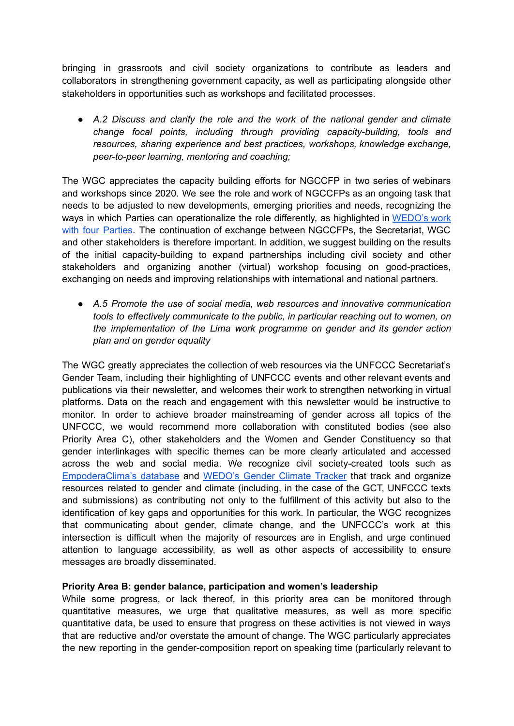bringing in grassroots and civil society organizations to contribute as leaders and collaborators in strengthening government capacity, as well as participating alongside other stakeholders in opportunities such as workshops and facilitated processes.

*● A.2 Discuss and clarify the role and the work of the national gender and climate change focal points, including through providing capacity-building, tools and resources, sharing experience and best practices, workshops, knowledge exchange, peer-to-peer learning, mentoring and coaching;*

The WGC appreciates the capacity building efforts for NGCCFP in two series of webinars and workshops since 2020. We see the role and work of NGCCFPs as an ongoing task that needs to be adjusted to new developments, emerging priorities and needs, recognizing the ways in which Parties can operationalize the role differently, as highlighted in [WEDO's](https://wedo.org/the-role-of-national-gender-and-climate-change-focal-points-ngccfps/) work with four [Parties.](https://wedo.org/the-role-of-national-gender-and-climate-change-focal-points-ngccfps/) The continuation of exchange between NGCCFPs, the Secretariat, WGC and other stakeholders is therefore important. In addition, we suggest building on the results of the initial capacity-building to expand partnerships including civil society and other stakeholders and organizing another (virtual) workshop focusing on good-practices, exchanging on needs and improving relationships with international and national partners.

*● A.5 Promote the use of social media, web resources and innovative communication tools to effectively communicate to the public, in particular reaching out to women, on the implementation of the Lima work programme on gender and its gender action plan and on gender equality*

The WGC greatly appreciates the collection of web resources via the UNFCCC Secretariat's Gender Team, including their highlighting of UNFCCC events and other relevant events and publications via their newsletter, and welcomes their work to strengthen networking in virtual platforms. Data on the reach and engagement with this newsletter would be instructive to monitor. In order to achieve broader mainstreaming of gender across all topics of the UNFCCC, we would recommend more collaboration with constituted bodies (see also Priority Area C), other stakeholders and the Women and Gender Constituency so that gender interlinkages with specific themes can be more clearly articulated and accessed across the web and social media. We recognize civil society-created tools such as [EmpoderaClima's](https://www.empoderaclima.org/en/database) database and [WEDO's](https://www.genderclimatetracker.org/resources) Gender Climate Tracker that track and organize resources related to gender and climate (including, in the case of the GCT, UNFCCC texts and submissions) as contributing not only to the fulfillment of this activity but also to the identification of key gaps and opportunities for this work. In particular, the WGC recognizes that communicating about gender, climate change, and the UNFCCC's work at this intersection is difficult when the majority of resources are in English, and urge continued attention to language accessibility, as well as other aspects of accessibility to ensure messages are broadly disseminated.

#### **Priority Area B: gender balance, participation and women's leadership**

While some progress, or lack thereof, in this priority area can be monitored through quantitative measures, we urge that qualitative measures, as well as more specific quantitative data, be used to ensure that progress on these activities is not viewed in ways that are reductive and/or overstate the amount of change. The WGC particularly appreciates the new reporting in the gender-composition report on speaking time (particularly relevant to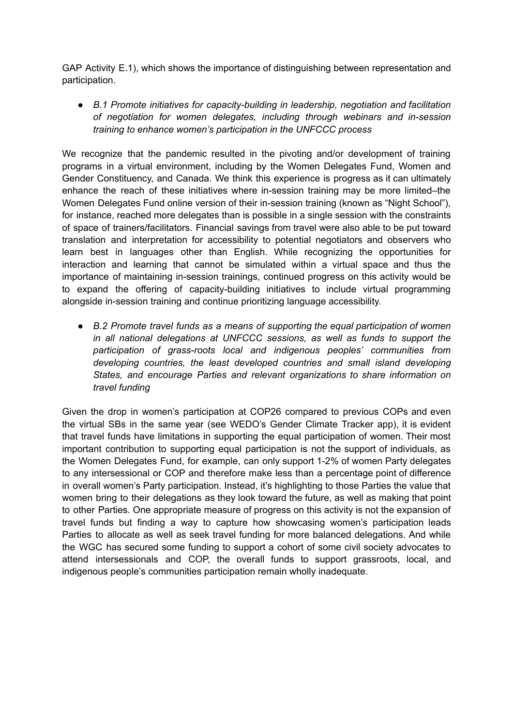GAP Activity E.1), which shows the importance of distinguishing between representation and participation.

*● B.1 Promote initiatives for capacity-building in leadership, negotiation and facilitation of negotiation for women delegates, including through webinars and in-session training to enhance women's participation in the UNFCCC process*

We recognize that the pandemic resulted in the pivoting and/or development of training programs in a virtual environment, including by the Women Delegates Fund, Women and Gender Constituency, and Canada. We think this experience is progress as it can ultimately enhance the reach of these initiatives where in-session training may be more limited–the Women Delegates Fund online version of their in-session training (known as "Night School"), for instance, reached more delegates than is possible in a single session with the constraints of space of trainers/facilitators. Financial savings from travel were also able to be put toward translation and interpretation for accessibility to potential negotiators and observers who learn best in languages other than English. While recognizing the opportunities for interaction and learning that cannot be simulated within a virtual space and thus the importance of maintaining in-session trainings, continued progress on this activity would be to expand the offering of capacity-building initiatives to include virtual programming alongside in-session training and continue prioritizing language accessibility.

*● B.2 Promote travel funds as a means of supporting the equal participation of women in all national delegations at UNFCCC sessions, as well as funds to support the participation of grass-roots local and indigenous peoples' communities from developing countries, the least developed countries and small island developing States, and encourage Parties and relevant organizations to share information on travel funding*

Given the drop in women's participation at COP26 compared to previous COPs and even the virtual SBs in the same year (see WEDO's Gender Climate Tracker app), it is evident that travel funds have limitations in supporting the equal participation of women. Their most important contribution to supporting equal participation is not the support of individuals, as the Women Delegates Fund, for example, can only support 1-2% of women Party delegates to any intersessional or COP and therefore make less than a percentage point of difference in overall women's Party participation. Instead, it's highlighting to those Parties the value that women bring to their delegations as they look toward the future, as well as making that point to other Parties. One appropriate measure of progress on this activity is not the expansion of travel funds but finding a way to capture how showcasing women's participation leads Parties to allocate as well as seek travel funding for more balanced delegations. And while the WGC has secured some funding to support a cohort of some civil society advocates to attend intersessionals and COP, the overall funds to support grassroots, local, and indigenous people's communities participation remain wholly inadequate.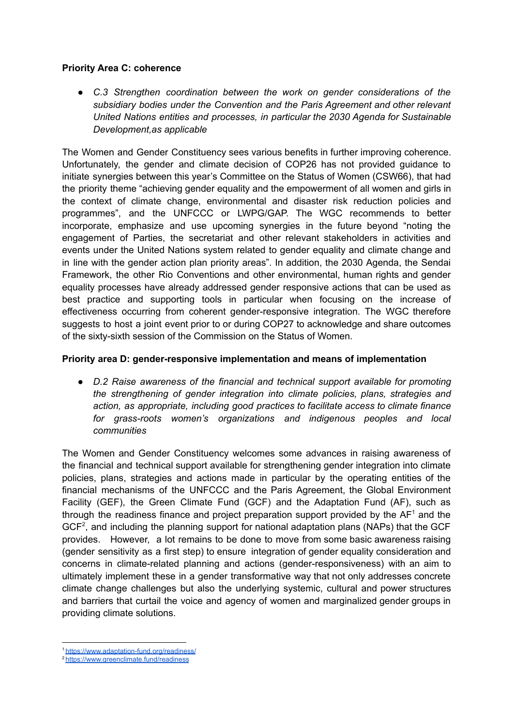#### **Priority Area C: coherence**

*● C.3 Strengthen coordination between the work on gender considerations of the subsidiary bodies under the Convention and the Paris Agreement and other relevant United Nations entities and processes, in particular the 2030 Agenda for Sustainable Development,as applicable*

The Women and Gender Constituency sees various benefits in further improving coherence. Unfortunately, the gender and climate decision of COP26 has not provided guidance to initiate synergies between this year's Committee on the Status of Women (CSW66), that had the priority theme "achieving gender equality and the empowerment of all women and girls in the context of climate change, environmental and disaster risk reduction policies and programmes", and the UNFCCC or LWPG/GAP. The WGC recommends to better incorporate, emphasize and use upcoming synergies in the future beyond "noting the engagement of Parties, the secretariat and other relevant stakeholders in activities and events under the United Nations system related to gender equality and climate change and in line with the gender action plan priority areas". In addition, the 2030 Agenda, the Sendai Framework, the other Rio Conventions and other environmental, human rights and gender equality processes have already addressed gender responsive actions that can be used as best practice and supporting tools in particular when focusing on the increase of effectiveness occurring from coherent gender-responsive integration. The WGC therefore suggests to host a joint event prior to or during COP27 to acknowledge and share outcomes of the sixty-sixth session of the Commission on the Status of Women.

#### **Priority area D: gender-responsive implementation and means of implementation**

*● D.2 Raise awareness of the financial and technical support available for promoting the strengthening of gender integration into climate policies, plans, strategies and action, as appropriate, including good practices to facilitate access to climate finance for grass-roots women's organizations and indigenous peoples and local communities*

The Women and Gender Constituency welcomes some advances in raising awareness of the financial and technical support available for strengthening gender integration into climate policies, plans, strategies and actions made in particular by the operating entities of the financial mechanisms of the UNFCCC and the Paris Agreement, the Global Environment Facility (GEF), the Green Climate Fund (GCF) and the Adaptation Fund (AF), such as through the readiness finance and project preparation support provided by the  $AF<sup>1</sup>$  and the  $GCF<sup>2</sup>$ , and including the planning support for national adaptation plans (NAPs) that the GCF provides. However, a lot remains to be done to move from some basic awareness raising (gender sensitivity as a first step) to ensure integration of gender equality consideration and concerns in climate-related planning and actions (gender-responsiveness) with an aim to ultimately implement these in a gender transformative way that not only addresses concrete climate change challenges but also the underlying systemic, cultural and power structures and barriers that curtail the voice and agency of women and marginalized gender groups in providing climate solutions.

<sup>1</sup> <https://www.adaptation-fund.org/readiness/>

<sup>2</sup> <https://www.greenclimate.fund/readiness>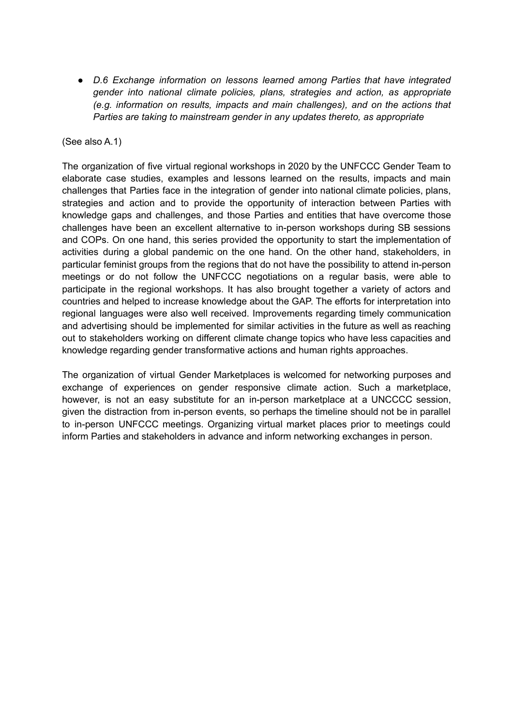*● D.6 Exchange information on lessons learned among Parties that have integrated gender into national climate policies, plans, strategies and action, as appropriate (e.g. information on results, impacts and main challenges), and on the actions that Parties are taking to mainstream gender in any updates thereto, as appropriate*

#### (See also A.1)

The organization of five virtual regional workshops in 2020 by the UNFCCC Gender Team to elaborate case studies, examples and lessons learned on the results, impacts and main challenges that Parties face in the integration of gender into national climate policies, plans, strategies and action and to provide the opportunity of interaction between Parties with knowledge gaps and challenges, and those Parties and entities that have overcome those challenges have been an excellent alternative to in-person workshops during SB sessions and COPs. On one hand, this series provided the opportunity to start the implementation of activities during a global pandemic on the one hand. On the other hand, stakeholders, in particular feminist groups from the regions that do not have the possibility to attend in-person meetings or do not follow the UNFCCC negotiations on a regular basis, were able to participate in the regional workshops. It has also brought together a variety of actors and countries and helped to increase knowledge about the GAP. The efforts for interpretation into regional languages were also well received. Improvements regarding timely communication and advertising should be implemented for similar activities in the future as well as reaching out to stakeholders working on different climate change topics who have less capacities and knowledge regarding gender transformative actions and human rights approaches.

The organization of virtual Gender Marketplaces is welcomed for networking purposes and exchange of experiences on gender responsive climate action. Such a marketplace, however, is not an easy substitute for an in-person marketplace at a UNCCCC session, given the distraction from in-person events, so perhaps the timeline should not be in parallel to in-person UNFCCC meetings. Organizing virtual market places prior to meetings could inform Parties and stakeholders in advance and inform networking exchanges in person.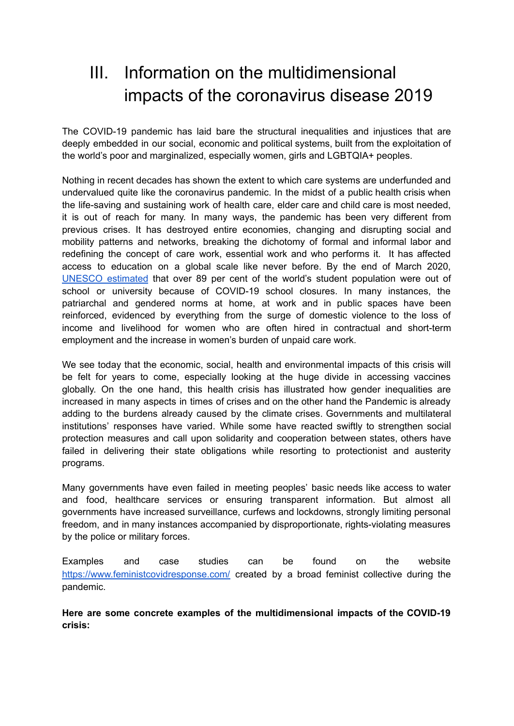## <span id="page-7-0"></span>III. Information on the multidimensional impacts of the coronavirus disease 2019

The COVID-19 pandemic has laid bare the structural inequalities and injustices that are deeply embedded in our social, economic and political systems, built from the exploitation of the world's poor and marginalized, especially women, girls and LGBTQIA+ peoples.

Nothing in recent decades has shown the extent to which care systems are underfunded and undervalued quite like the coronavirus pandemic. In the midst of a public health crisis when the life-saving and sustaining work of health care, elder care and child care is most needed, it is out of reach for many. In many ways, the pandemic has been very different from previous crises. It has destroyed entire economies, changing and disrupting social and mobility patterns and networks, breaking the dichotomy of formal and informal labor and redefining the concept of care work, essential work and who performs it. It has affected access to education on a global scale like never before. By the end of March 2020, UNESCO [estimated](https://en.unesco.org/news/covid-19-school-closures-around-world-will-hit-girls-hardest) that over 89 per cent of the world's student population were out of school or university because of COVID-19 school closures. In many instances, the patriarchal and gendered norms at home, at work and in public spaces have been reinforced, evidenced by everything from the surge of domestic violence to the loss of income and livelihood for women who are often hired in contractual and short-term employment and the increase in women's burden of unpaid care work.

We see today that the economic, social, health and environmental impacts of this crisis will be felt for years to come, especially looking at the huge divide in accessing vaccines globally. On the one hand, this health crisis has illustrated how gender inequalities are increased in many aspects in times of crises and on the other hand the Pandemic is already adding to the burdens already caused by the climate crises. Governments and multilateral institutions' responses have varied. While some have reacted swiftly to strengthen social protection measures and call upon solidarity and cooperation between states, others have failed in delivering their state obligations while resorting to protectionist and austerity programs.

Many governments have even failed in meeting peoples' basic needs like access to water and food, healthcare services or ensuring transparent information. But almost all governments have increased surveillance, curfews and lockdowns, strongly limiting personal freedom, and in many instances accompanied by disproportionate, rights-violating measures by the police or military forces.

Examples and case studies can be found on the website <https://www.feministcovidresponse.com/> created by a broad feminist collective during the pandemic.

**Here are some concrete examples of the multidimensional impacts of the COVID-19 crisis:**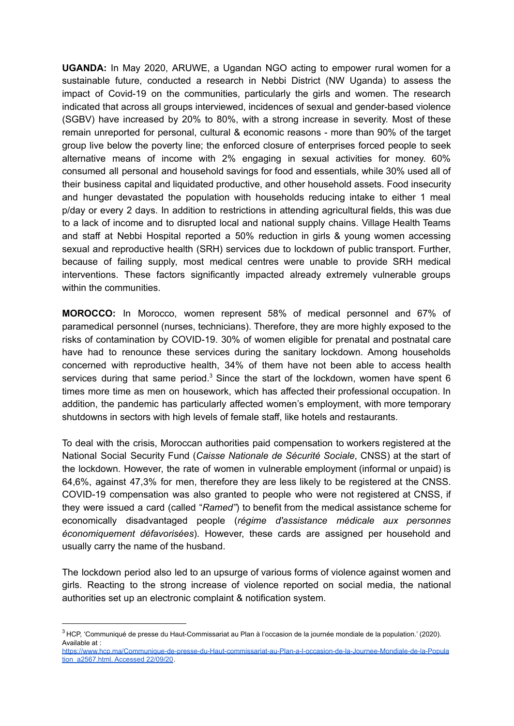**UGANDA:** In May 2020, ARUWE, a Ugandan NGO acting to empower rural women for a sustainable future, conducted a research in Nebbi District (NW Uganda) to assess the impact of Covid-19 on the communities, particularly the girls and women. The research indicated that across all groups interviewed, incidences of sexual and gender-based violence (SGBV) have increased by 20% to 80%, with a strong increase in severity. Most of these remain unreported for personal, cultural & economic reasons - more than 90% of the target group live below the poverty line; the enforced closure of enterprises forced people to seek alternative means of income with 2% engaging in sexual activities for money. 60% consumed all personal and household savings for food and essentials, while 30% used all of their business capital and liquidated productive, and other household assets. Food insecurity and hunger devastated the population with households reducing intake to either 1 meal p/day or every 2 days. In addition to restrictions in attending agricultural fields, this was due to a lack of income and to disrupted local and national supply chains. Village Health Teams and staff at Nebbi Hospital reported a 50% reduction in girls & young women accessing sexual and reproductive health (SRH) services due to lockdown of public transport. Further, because of failing supply, most medical centres were unable to provide SRH medical interventions. These factors significantly impacted already extremely vulnerable groups within the communities.

**MOROCCO:** In Morocco, women represent 58% of medical personnel and 67% of paramedical personnel (nurses, technicians). Therefore, they are more highly exposed to the risks of contamination by COVID-19. 30% of women eligible for prenatal and postnatal care have had to renounce these services during the sanitary lockdown. Among households concerned with reproductive health, 34% of them have not been able to access health services during that same period. $3$  Since the start of the lockdown, women have spent 6 times more time as men on housework, which has affected their professional occupation. In addition, the pandemic has particularly affected women's employment, with more temporary shutdowns in sectors with high levels of female staff, like hotels and restaurants.

To deal with the crisis, Moroccan authorities paid compensation to workers registered at the National Social Security Fund (*Caisse Nationale de Sécurité Sociale*, CNSS) at the start of the lockdown. However, the rate of women in vulnerable employment (informal or unpaid) is 64,6%, against 47,3% for men, therefore they are less likely to be registered at the CNSS. COVID-19 compensation was also granted to people who were not registered at CNSS, if they were issued a card (called "*Ramed"*) to benefit from the medical assistance scheme for economically disadvantaged people (*régime d'assistance médicale aux personnes économiquement défavorisées*). However, these cards are assigned per household and usually carry the name of the husband.

The lockdown period also led to an upsurge of various forms of violence against women and girls. Reacting to the strong increase of violence reported on social media, the national authorities set up an electronic complaint & notification system.

<sup>&</sup>lt;sup>3</sup> HCP, 'Communiqué de presse du Haut-Commissariat au Plan à l'occasion de la journée mondiale de la population.' (2020). Available at :

[https://www.hcp.ma/Communique-de-presse-du-Haut-commissariat-au-Plan-a-l-occasion-de-la-Journee-Mondiale-de-la-Popula](https://www.hcp.ma/Communique-de-presse-du-Haut-commissariat-au-Plan-a-l-occasion-de-la-Journee-Mondiale-de-la-Population_a2567.html.) [tion\\_a2567.html.](https://www.hcp.ma/Communique-de-presse-du-Haut-commissariat-au-Plan-a-l-occasion-de-la-Journee-Mondiale-de-la-Population_a2567.html.) Accessed 22/09/20.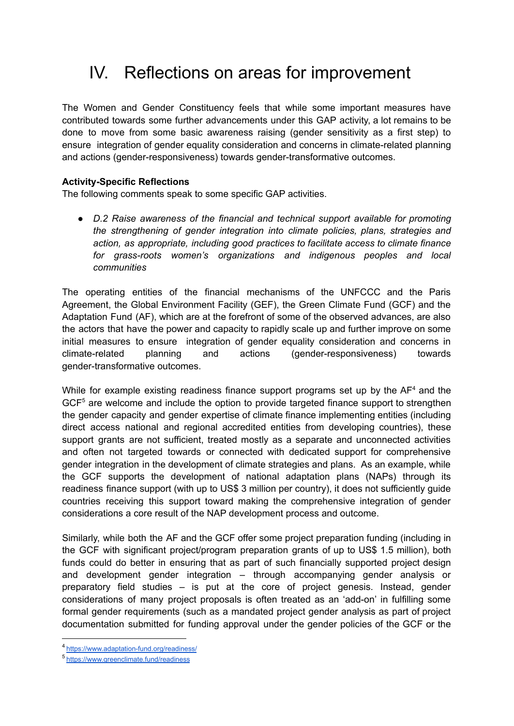## <span id="page-9-0"></span>IV. Reflections on areas for improvement

The Women and Gender Constituency feels that while some important measures have contributed towards some further advancements under this GAP activity, a lot remains to be done to move from some basic awareness raising (gender sensitivity as a first step) to ensure integration of gender equality consideration and concerns in climate-related planning and actions (gender-responsiveness) towards gender-transformative outcomes.

#### **Activity-Specific Reflections**

The following comments speak to some specific GAP activities.

*● D.2 Raise awareness of the financial and technical support available for promoting the strengthening of gender integration into climate policies, plans, strategies and action, as appropriate, including good practices to facilitate access to climate finance for grass-roots women's organizations and indigenous peoples and local communities*

The operating entities of the financial mechanisms of the UNFCCC and the Paris Agreement, the Global Environment Facility (GEF), the Green Climate Fund (GCF) and the Adaptation Fund (AF), which are at the forefront of some of the observed advances, are also the actors that have the power and capacity to rapidly scale up and further improve on some initial measures to ensure integration of gender equality consideration and concerns in climate-related planning and actions (gender-responsiveness) towards gender-transformative outcomes.

While for example existing readiness finance support programs set up by the  $AF<sup>4</sup>$  and the  $GCF<sup>5</sup>$  are welcome and include the option to provide targeted finance support to strengthen the gender capacity and gender expertise of climate finance implementing entities (including direct access national and regional accredited entities from developing countries), these support grants are not sufficient, treated mostly as a separate and unconnected activities and often not targeted towards or connected with dedicated support for comprehensive gender integration in the development of climate strategies and plans. As an example, while the GCF supports the development of national adaptation plans (NAPs) through its readiness finance support (with up to US\$ 3 million per country), it does not sufficiently guide countries receiving this support toward making the comprehensive integration of gender considerations a core result of the NAP development process and outcome.

Similarly, while both the AF and the GCF offer some project preparation funding (including in the GCF with significant project/program preparation grants of up to US\$ 1.5 million), both funds could do better in ensuring that as part of such financially supported project design and development gender integration – through accompanying gender analysis or preparatory field studies – is put at the core of project genesis. Instead, gender considerations of many project proposals is often treated as an 'add-on' in fulfilling some formal gender requirements (such as a mandated project gender analysis as part of project documentation submitted for funding approval under the gender policies of the GCF or the

<sup>4</sup> <https://www.adaptation-fund.org/readiness/>

<sup>5</sup> <https://www.greenclimate.fund/readiness>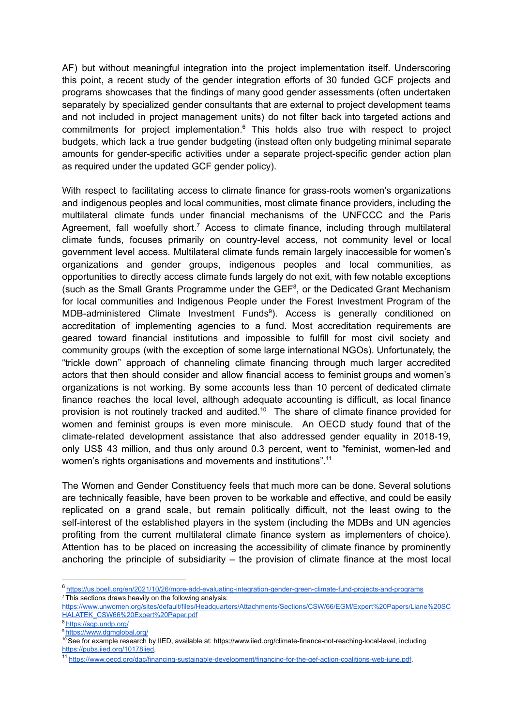AF) but without meaningful integration into the project implementation itself. Underscoring this point, a recent study of the gender integration efforts of 30 funded GCF projects and programs showcases that the findings of many good gender assessments (often undertaken separately by specialized gender consultants that are external to project development teams and not included in project management units) do not filter back into targeted actions and commitments for project implementation. $6$  This holds also true with respect to project budgets, which lack a true gender budgeting (instead often only budgeting minimal separate amounts for gender-specific activities under a separate project-specific gender action plan as required under the updated GCF gender policy).

With respect to facilitating access to climate finance for grass-roots women's organizations and indigenous peoples and local communities, most climate finance providers, including the multilateral climate funds under financial mechanisms of the UNFCCC and the Paris Agreement, fall woefully short.<sup>7</sup> Access to climate finance, including through multilateral climate funds, focuses primarily on country-level access, not community level or local government level access. Multilateral climate funds remain largely inaccessible for women's organizations and gender groups, indigenous peoples and local communities, as opportunities to directly access climate funds largely do not exit, with few notable exceptions (such as the Small Grants Programme under the GEF 8 , or the Dedicated Grant Mechanism for local communities and Indigenous People under the Forest Investment Program of the MDB-administered Climate Investment Funds<sup>9</sup>). Access is generally conditioned on accreditation of implementing agencies to a fund. Most accreditation requirements are geared toward financial institutions and impossible to fulfill for most civil society and community groups (with the exception of some large international NGOs). Unfortunately, the "trickle down" approach of channeling climate financing through much larger accredited actors that then should consider and allow financial access to feminist groups and women's organizations is not working. By some accounts less than 10 percent of dedicated climate finance reaches the local level, although adequate accounting is difficult, as local finance provision is not routinely tracked and audited.<sup>10</sup> The share of climate finance provided for women and feminist groups is even more miniscule. An OECD study found that of the climate-related development assistance that also addressed gender equality in 2018-19, only US\$ 43 million, and thus only around 0.3 percent, went to "feminist, women-led and women's rights organisations and movements and institutions".<sup>11</sup>

The Women and Gender Constituency feels that much more can be done. Several solutions are technically feasible, have been proven to be workable and effective, and could be easily replicated on a grand scale, but remain politically difficult, not the least owing to the self-interest of the established players in the system (including the MDBs and UN agencies profiting from the current multilateral climate finance system as implementers of choice). Attention has to be placed on increasing the accessibility of climate finance by prominently anchoring the principle of subsidiarity – the provision of climate finance at the most local

 $7$  This sections draws heavily on the following analysis[:](https://www.unwomen.org/sites/default/files/Headquarters/Attachments/Sections/CSW/66/EGM/Expert%20Papers/Liane%20SCHALATEK_CSW66%20Expert%20Paper.pdf) <sup>6</sup> <https://us.boell.org/en/2021/10/26/more-add-evaluating-integration-gender-green-climate-fund-projects-and-programs>

[https://www.unwomen.org/sites/default/files/Headquarters/Attachments/Sections/CSW/66/EGM/Expert%20Papers/Liane%20SC](https://www.unwomen.org/sites/default/files/Headquarters/Attachments/Sections/CSW/66/EGM/Expert%20Papers/Liane%20SCHALATEK_CSW66%20Expert%20Paper.pdf) [HALATEK\\_CSW66%20Expert%20Paper.pdf](https://www.unwomen.org/sites/default/files/Headquarters/Attachments/Sections/CSW/66/EGM/Expert%20Papers/Liane%20SCHALATEK_CSW66%20Expert%20Paper.pdf)

<sup>8</sup> https://sap.undp.org/

<sup>9</sup> <https://www.dgmglobal.org/>

<sup>&</sup>lt;sup>10</sup> See for example research by IIED, available at: https://www.iied.or[g](https://pubs.iied.org/10178iied)/climate-finance-not-reaching-local-level, including [https://pubs.iied.org/10178iied.](https://pubs.iied.org/10178iied)

<sup>11</sup> <https://www.oecd.org/dac/financing-sustainable-development/financing-for-the-gef-action-coalitions-web-june.pdf>.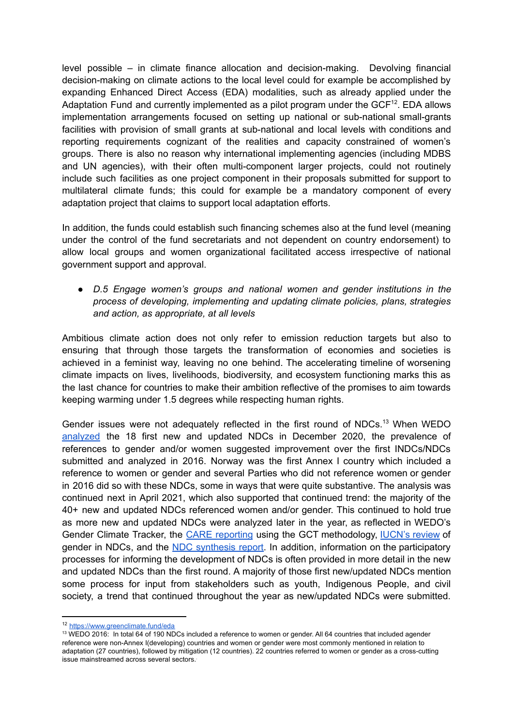level possible – in climate finance allocation and decision-making. Devolving financial decision-making on climate actions to the local level could for example be accomplished by expanding Enhanced Direct Access (EDA) modalities, such as already applied under the Adaptation Fund and currently implemented as a pilot program under the  $GCF<sup>12</sup>$ . EDA allows implementation arrangements focused on setting up national or sub-national small-grants facilities with provision of small grants at sub-national and local levels with conditions and reporting requirements cognizant of the realities and capacity constrained of women's groups. There is also no reason why international implementing agencies (including MDBS and UN agencies), with their often multi-component larger projects, could not routinely include such facilities as one project component in their proposals submitted for support to multilateral climate funds; this could for example be a mandatory component of every adaptation project that claims to support local adaptation efforts.

In addition, the funds could establish such financing schemes also at the fund level (meaning under the control of the fund secretariats and not dependent on country endorsement) to allow local groups and women organizational facilitated access irrespective of national government support and approval.

*● D.5 Engage women's groups and national women and gender institutions in the process of developing, implementing and updating climate policies, plans, strategies and action, as appropriate, at all levels*

Ambitious climate action does not only refer to emission reduction targets but also to ensuring that through those targets the transformation of economies and societies is achieved in a feminist way, leaving no one behind. The accelerating timeline of worsening climate impacts on lives, livelihoods, biodiversity, and ecosystem functioning marks this as the last chance for countries to make their ambition reflective of the promises to aim towards keeping warming under 1.5 degrees while respecting human rights.

Gender issues were not adequately reflected in the first round of NDCs.<sup>13</sup> When WEDO [analyzed](https://wedo.org/wp-content/uploads/2020/12/GenderNDCs_FINAL_Dec2020.pdf) the 18 first new and updated NDCs in December 2020, the prevalence of references to gender and/or women suggested improvement over the first INDCs/NDCs submitted and analyzed in 2016. Norway was the first Annex I country which included a reference to women or gender and several Parties who did not reference women or gender in 2016 did so with these NDCs, some in ways that were quite substantive. The analysis was continued next in April 2021, which also supported that continued trend: the majority of the 40+ new and updated NDCs referenced women and/or gender. This continued to hold true as more new and updated NDCs were analyzed later in the year, as reflected in WEDO's Gender Climate Tracker, the CARE [reporting](https://careclimatechange.org/report-card-update-where-is-gender-equality-in-national-climate-plans-ndcs-june-2021/) using the GCT methodology, [IUCN's](https://genderandenvironment.org/gender-and-ndcs-2021/) review of gender in NDCs, and the NDC [synthesis](https://unfccc.int/sites/default/files/resource/cma2021_08E.pdf) report. In addition, information on the participatory processes for informing the development of NDCs is often provided in more detail in the new and updated NDCs than the first round. A majority of those first new/updated NDCs mention some process for input from stakeholders such as youth, Indigenous People, and civil society, a trend that continued throughout the year as new/updated NDCs were submitted.

<sup>12</sup> <https://www.greenclimate.fund/eda>

<sup>&</sup>lt;sup>13</sup> WEDO 2016: In total 64 of 190 NDCs included a reference to women or gender. All 64 countries that included agender reference were non-Annex I(developing) countries and women or gender were most commonly mentioned in relation to adaptation (27 countries), followed by mitigation (12 countries). 22 countries referred to women or gender as a cross-cutting issue mainstreamed across several sectors. .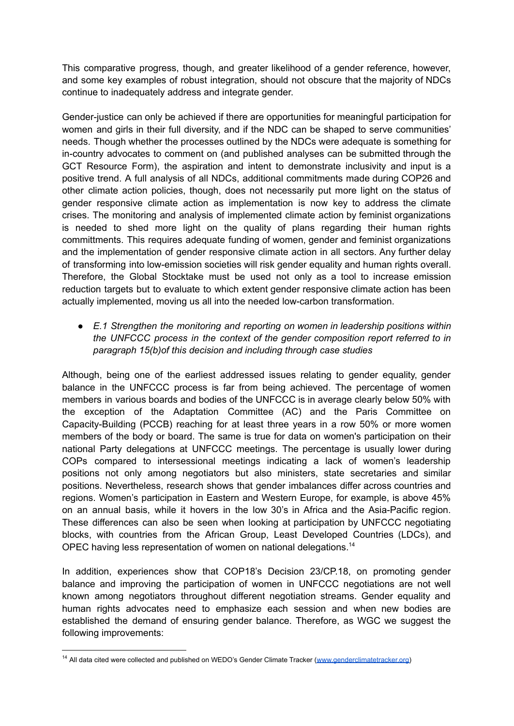This comparative progress, though, and greater likelihood of a gender reference, however, and some key examples of robust integration, should not obscure that the majority of NDCs continue to inadequately address and integrate gender.

Gender-justice can only be achieved if there are opportunities for meaningful participation for women and girls in their full diversity, and if the NDC can be shaped to serve communities' needs. Though whether the processes outlined by the NDCs were adequate is something for in-country advocates to comment on (and published analyses can be submitted through the GCT Resource Form), the aspiration and intent to demonstrate inclusivity and input is a positive trend. A full analysis of all NDCs, additional commitments made during COP26 and other climate action policies, though, does not necessarily put more light on the status of gender responsive climate action as implementation is now key to address the climate crises. The monitoring and analysis of implemented climate action by feminist organizations is needed to shed more light on the quality of plans regarding their human rights committments. This requires adequate funding of women, gender and feminist organizations and the implementation of gender responsive climate action in all sectors. Any further delay of transforming into low-emission societies will risk gender equality and human rights overall. Therefore, the Global Stocktake must be used not only as a tool to increase emission reduction targets but to evaluate to which extent gender responsive climate action has been actually implemented, moving us all into the needed low-carbon transformation.

*● E.1 Strengthen the monitoring and reporting on women in leadership positions within the UNFCCC process in the context of the gender composition report referred to in paragraph 15(b)of this decision and including through case studies*

Although, being one of the earliest addressed issues relating to gender equality, gender balance in the UNFCCC process is far from being achieved. The percentage of women members in various boards and bodies of the UNFCCC is in average clearly below 50% with the exception of the Adaptation Committee (AC) and the Paris Committee on Capacity-Building (PCCB) reaching for at least three years in a row 50% or more women members of the body or board. The same is true for data on women's participation on their national Party delegations at UNFCCC meetings. The percentage is usually lower during COPs compared to intersessional meetings indicating a lack of women's leadership positions not only among negotiators but also ministers, state secretaries and similar positions. Nevertheless, research shows that gender imbalances differ across countries and regions. Women's participation in Eastern and Western Europe, for example, is above 45% on an annual basis, while it hovers in the low 30's in Africa and the Asia-Pacific region. These differences can also be seen when looking at participation by UNFCCC negotiating blocks, with countries from the African Group, Least Developed Countries (LDCs), and OPEC having less representation of women on national delegations.<sup>14</sup>

In addition, experiences show that COP18's Decision 23/CP.18, on promoting gender balance and improving the participation of women in UNFCCC negotiations are not well known among negotiators throughout different negotiation streams. Gender equality and human rights advocates need to emphasize each session and when new bodies are established the demand of ensuring gender balance. Therefore, as WGC we suggest the following improvements:

<sup>&</sup>lt;sup>14</sup> All data cited were collected and published on WEDO's Gender Climate Tracker [\(www.genderclimatetracker.org\)](http://www.genderclimatetracker.org)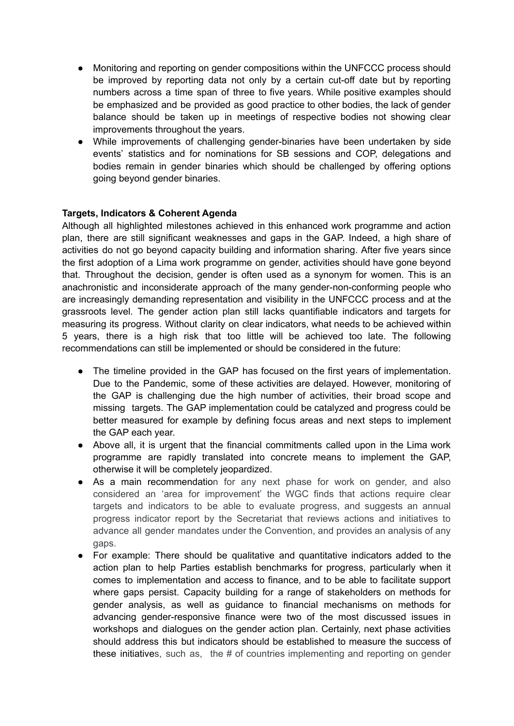- Monitoring and reporting on gender compositions within the UNFCCC process should be improved by reporting data not only by a certain cut-off date but by reporting numbers across a time span of three to five years. While positive examples should be emphasized and be provided as good practice to other bodies, the lack of gender balance should be taken up in meetings of respective bodies not showing clear improvements throughout the years.
- While improvements of challenging gender-binaries have been undertaken by side events' statistics and for nominations for SB sessions and COP, delegations and bodies remain in gender binaries which should be challenged by offering options going beyond gender binaries.

#### **Targets, Indicators & Coherent Agenda**

Although all highlighted milestones achieved in this enhanced work programme and action plan, there are still significant weaknesses and gaps in the GAP. Indeed, a high share of activities do not go beyond capacity building and information sharing. After five years since the first adoption of a Lima work programme on gender, activities should have gone beyond that. Throughout the decision, gender is often used as a synonym for women. This is an anachronistic and inconsiderate approach of the many gender-non-conforming people who are increasingly demanding representation and visibility in the UNFCCC process and at the grassroots level. The gender action plan still lacks quantifiable indicators and targets for measuring its progress. Without clarity on clear indicators, what needs to be achieved within 5 years, there is a high risk that too little will be achieved too late. The following recommendations can still be implemented or should be considered in the future:

- The timeline provided in the GAP has focused on the first years of implementation. Due to the Pandemic, some of these activities are delayed. However, monitoring of the GAP is challenging due the high number of activities, their broad scope and missing targets. The GAP implementation could be catalyzed and progress could be better measured for example by defining focus areas and next steps to implement the GAP each year.
- Above all, it is urgent that the financial commitments called upon in the Lima work programme are rapidly translated into concrete means to implement the GAP, otherwise it will be completely jeopardized.
- As a main recommendation for any next phase for work on gender, and also considered an 'area for improvement' the WGC finds that actions require clear targets and indicators to be able to evaluate progress, and suggests an annual progress indicator report by the Secretariat that reviews actions and initiatives to advance all gender mandates under the Convention, and provides an analysis of any gaps.
- For example: There should be qualitative and quantitative indicators added to the action plan to help Parties establish benchmarks for progress, particularly when it comes to implementation and access to finance, and to be able to facilitate support where gaps persist. Capacity building for a range of stakeholders on methods for gender analysis, as well as guidance to financial mechanisms on methods for advancing gender-responsive finance were two of the most discussed issues in workshops and dialogues on the gender action plan. Certainly, next phase activities should address this but indicators should be established to measure the success of these initiatives, such as, the # of countries implementing and reporting on gender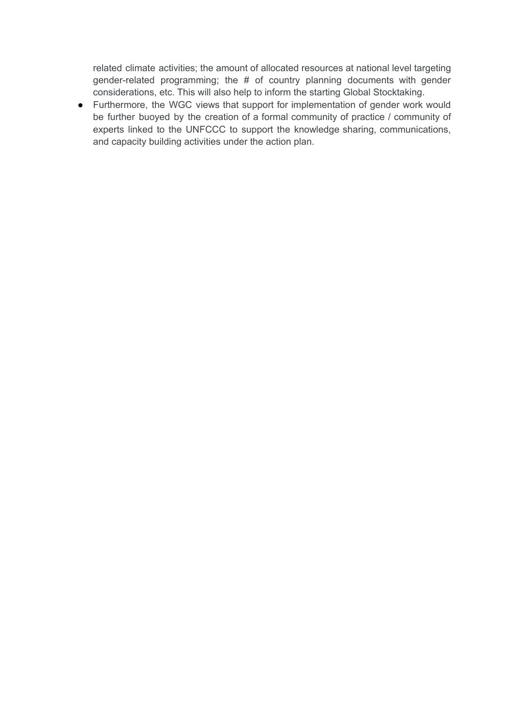related climate activities; the amount of allocated resources at national level targeting gender-related programming; the # of country planning documents with gender considerations, etc. This will also help to inform the starting Global Stocktaking.

● Furthermore, the WGC views that support for implementation of gender work would be further buoyed by the creation of a formal community of practice / community of experts linked to the UNFCCC to support the knowledge sharing, communications, and capacity building activities under the action plan.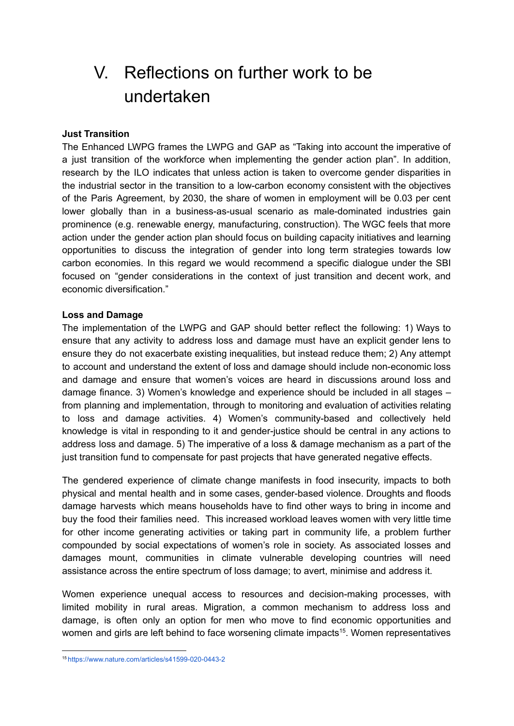## <span id="page-15-0"></span>V. Reflections on further work to be undertaken

#### **Just Transition**

The Enhanced LWPG frames the LWPG and GAP as "Taking into account the imperative of a just transition of the workforce when implementing the gender action plan". In addition, research by the ILO indicates that unless action is taken to overcome gender disparities in the industrial sector in the transition to a low-carbon economy consistent with the objectives of the Paris Agreement, by 2030, the share of women in employment will be 0.03 per cent lower globally than in a business-as-usual scenario as male-dominated industries gain prominence (e.g. renewable energy, manufacturing, construction). The WGC feels that more action under the gender action plan should focus on building capacity initiatives and learning opportunities to discuss the integration of gender into long term strategies towards low carbon economies. In this regard we would recommend a specific dialogue under the SBI focused on "gender considerations in the context of just transition and decent work, and economic diversification."

#### **Loss and Damage**

The implementation of the LWPG and GAP should better reflect the following: 1) Ways to ensure that any activity to address loss and damage must have an explicit gender lens to ensure they do not exacerbate existing inequalities, but instead reduce them; 2) Any attempt to account and understand the extent of loss and damage should include non-economic loss and damage and ensure that women's voices are heard in discussions around loss and damage finance. 3) Women's knowledge and experience should be included in all stages – from planning and implementation, through to monitoring and evaluation of activities relating to loss and damage activities. 4) Women's community-based and collectively held knowledge is vital in responding to it and gender-justice should be central in any actions to address loss and damage. 5) The imperative of a loss & damage mechanism as a part of the just transition fund to compensate for past projects that have generated negative effects.

The gendered experience of climate change manifests in food insecurity, impacts to both physical and mental health and in some cases, gender-based violence. Droughts and floods damage harvests which means households have to find other ways to bring in income and buy the food their families need. This increased workload leaves women with very little time for other income generating activities or taking part in community life, a problem further compounded by social expectations of women's role in society. As associated losses and damages mount, communities in climate vulnerable developing countries will need assistance across the entire spectrum of loss damage; to avert, minimise and address it.

Women experience unequal access to resources and decision-making processes, with limited mobility in rural areas. Migration, a common mechanism to address loss and damage, is often only an option for men who move to find economic opportunities and women and girls are left behind to face worsening climate impacts<sup>15</sup>. Women representatives

<sup>15</sup> <https://www.nature.com/articles/s41599-020-0443-2>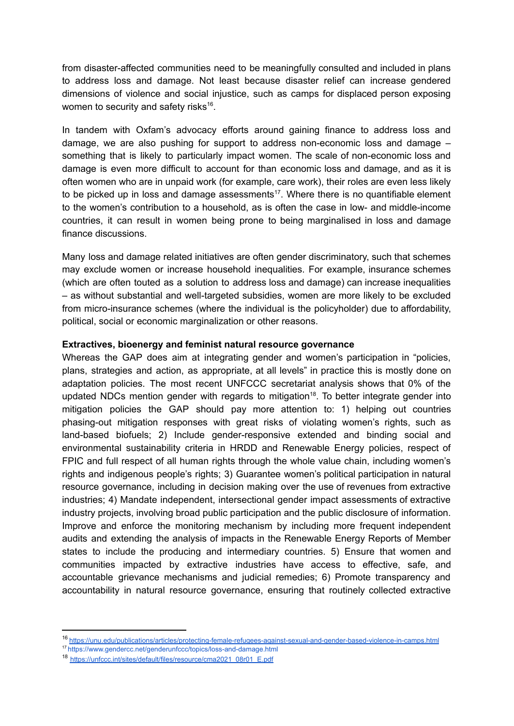from disaster-affected communities need to be meaningfully consulted and included in plans to address loss and damage. Not least because disaster relief can increase gendered dimensions of violence and social injustice, such as camps for displaced person exposing women to security and safety risks $16$ .

In tandem with Oxfam's advocacy efforts around gaining finance to address loss and damage, we are also pushing for support to address non-economic loss and damage – something that is likely to particularly impact women. The scale of non-economic loss and damage is even more difficult to account for than economic loss and damage, and as it is often women who are in unpaid work (for example, care work), their roles are even less likely to be picked up in loss and damage assessments<sup>17</sup>. Where there is no quantifiable element to the women's contribution to a household, as is often the case in low- and middle-income countries, it can result in women being prone to being marginalised in loss and damage finance discussions.

Many loss and damage related initiatives are often gender discriminatory, such that schemes may exclude women or increase household inequalities. For example, insurance schemes (which are often touted as a solution to address loss and damage) can increase inequalities – as without substantial and well-targeted subsidies, women are more likely to be excluded from micro-insurance schemes (where the individual is the policyholder) due to affordability, political, social or economic marginalization or other reasons.

#### **Extractives, bioenergy and feminist natural resource governance**

Whereas the GAP does aim at integrating gender and women's participation in "policies, plans, strategies and action, as appropriate, at all levels" in practice this is mostly done on adaptation policies. The most recent UNFCCC secretariat analysis shows that 0% of the updated NDCs mention gender with regards to mitigation<sup>18</sup>. To better integrate gender into mitigation policies the GAP should pay more attention to: 1) helping out countries phasing-out mitigation responses with great risks of violating women's rights, such as land-based biofuels; 2) Include gender-responsive extended and binding social and environmental sustainability criteria in HRDD and Renewable Energy policies, respect of FPIC and full respect of all human rights through the whole value chain, including women's rights and indigenous people's rights; 3) Guarantee women's political participation in natural resource governance, including in decision making over the use of revenues from extractive industries; 4) Mandate independent, intersectional gender impact assessments of extractive industry projects, involving broad public participation and the public disclosure of information. Improve and enforce the monitoring mechanism by including more frequent independent audits and extending the analysis of impacts in the Renewable Energy Reports of Member states to include the producing and intermediary countries. 5) Ensure that women and communities impacted by extractive industries have access to effective, safe, and accountable grievance mechanisms and judicial remedies; 6) Promote transparency and accountability in natural resource governance, ensuring that routinely collected extractive

<sup>16</sup> <https://unu.edu/publications/articles/protecting-female-refugees-against-sexual-and-gender-based-violence-in-camps.html>

<sup>17</sup> <https://www.gendercc.net/genderunfccc/topics/loss-and-damage.html>

<sup>18</sup> [https://unfccc.int/sites/default/files/resource/cma2021\\_08r01\\_E.pdf](https://unfccc.int/sites/default/files/resource/cma2021_08r01_E.pdf)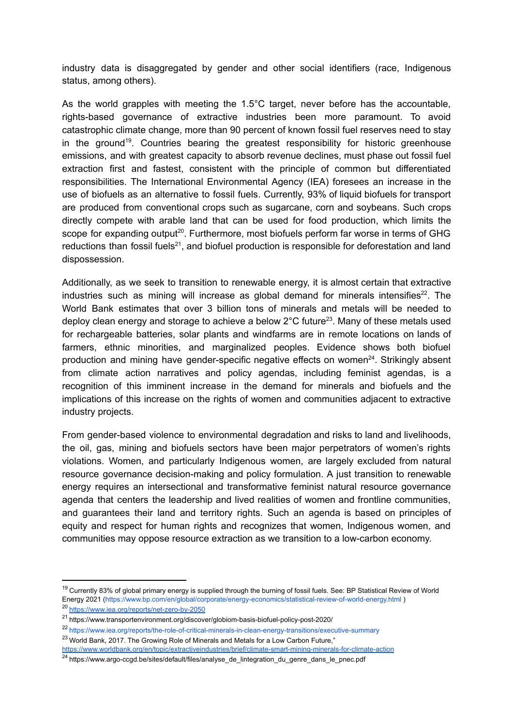industry data is disaggregated by gender and other social identifiers (race, Indigenous status, among others).

As the world grapples with meeting the 1.5°C target, never before has the accountable, rights-based governance of extractive industries been more paramount. To avoid catastrophic climate change, more than 90 percent of known fossil fuel reserves need to stay in the ground<sup>19</sup>. Countries bearing the greatest responsibility for historic greenhouse emissions, and with greatest capacity to absorb revenue declines, must phase out fossil fuel extraction first and fastest, consistent with the principle of common but differentiated responsibilities. The International Environmental Agency (IEA) foresees an increase in the use of biofuels as an alternative to fossil fuels. Currently, 93% of liquid biofuels for transport are produced from conventional crops such as sugarcane, corn and soybeans. Such crops directly compete with arable land that can be used for food production, which limits the scope for expanding output<sup>20</sup>. Furthermore, most biofuels perform far worse in terms of GHG reductions than fossil fuels<sup>21</sup>, and biofuel production is responsible for deforestation and land dispossession.

Additionally, as we seek to transition to renewable energy, it is almost certain that extractive industries such as mining will increase as global demand for minerals intensifies<sup>22</sup>. The World Bank estimates that over 3 billion tons of minerals and metals will be needed to deploy clean energy and storage to achieve a below  $2^{\circ}$ C future<sup>23</sup>. Many of these metals used for rechargeable batteries, solar plants and windfarms are in remote locations on lands of farmers, ethnic minorities, and marginalized peoples. Evidence shows both biofuel production and mining have gender-specific negative effects on women<sup>24</sup>. Strikingly absent from climate action narratives and policy agendas, including feminist agendas, is a recognition of this imminent increase in the demand for minerals and biofuels and the implications of this increase on the rights of women and communities adjacent to extractive industry projects.

From gender-based violence to environmental degradation and risks to land and livelihoods, the oil, gas, mining and biofuels sectors have been major perpetrators of women's rights violations. Women, and particularly Indigenous women, are largely excluded from natural resource governance decision-making and policy formulation. A just transition to renewable energy requires an intersectional and transformative feminist natural resource governance agenda that centers the leadership and lived realities of women and frontline communities, and guarantees their land and territory rights. Such an agenda is based on principles of equity and respect for human rights and recognizes that women, Indigenous women, and communities may oppose resource extraction as we transition to a low-carbon economy.

<sup>&</sup>lt;sup>19</sup> Currently 83% of global primary energy is supplied through the burning of fossil fuels. See: BP Statistical Review of World Energy 2021 (https://www.bp.com/en/global/corporate/energy-economics/statistical-review-of-world-energy.html )

<sup>20</sup> https://www.iea.org/reports/net-zero-by-2050

<sup>21</sup> https://www.transportenvironment.org/discover/globiom-basis-biofuel-policy-post-2020/

<sup>22</sup> https://www.iea.org/reports/the-role-of-critical-minerals-in-clean-energy-transitions/executive-summary

<sup>&</sup>lt;sup>23</sup> World Bank, 2017. The Growing Role of Minerals and Metals for a Low Carbon Future," https://www.worldbank.org/en/topic/extractiveindustries/brief/climate-smart-mining-minerals-for-climate-action

<sup>24</sup> https://www.argo-ccgd.be/sites/default/files/analyse\_de\_lintegration\_du\_genre\_dans\_le\_pnec.pdf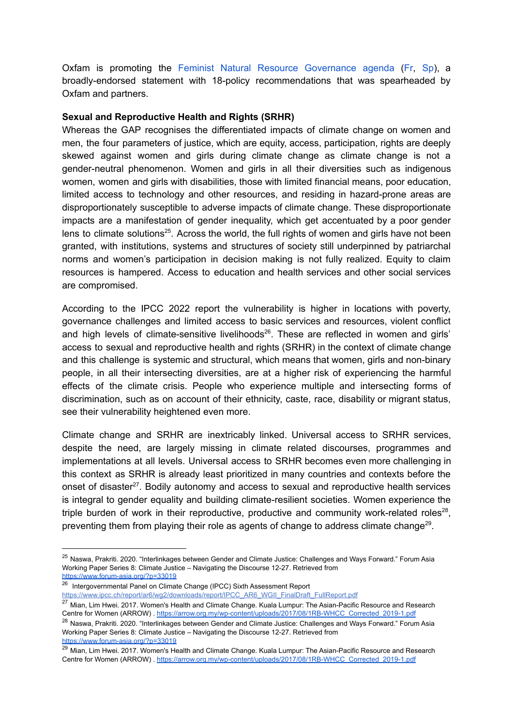Oxfam is promoting the Feminist Natural Resource [Governance](https://www.pwyp.org/wp-content/uploads/2022/03/2022_Feminist-Natural-Resource-Governance-Agenda.pdf) agenda ([Fr](https://www.pwyp.org/wp-content/uploads/2022/03/2022_Programme-feministe-de-gouvernance-des-ressources-naturelles.docx.pdf), [Sp](https://www.pwyp.org/wp-content/uploads/2022/03/2022_Gobernanza-feminista-de-recursos-naturales-para-una-transicion-justa.pdf)), a broadly-endorsed statement with 18-policy recommendations that was spearheaded by Oxfam and partners.

#### **Sexual and Reproductive Health and Rights (SRHR)**

Whereas the GAP recognises the differentiated impacts of climate change on women and men, the four parameters of justice, which are equity, access, participation, rights are deeply skewed against women and girls during climate change as climate change is not a gender-neutral phenomenon. Women and girls in all their diversities such as indigenous women, women and girls with disabilities, those with limited financial means, poor education, limited access to technology and other resources, and residing in hazard-prone areas are disproportionately susceptible to adverse impacts of climate change. These disproportionate impacts are a manifestation of gender inequality, which get accentuated by a poor gender lens to climate solutions<sup>25</sup>. Across the world, the full rights of women and girls have not been granted, with institutions, systems and structures of society still underpinned by patriarchal norms and women's participation in decision making is not fully realized. Equity to claim resources is hampered. Access to education and health services and other social services are compromised.

According to the IPCC 2022 report the vulnerability is higher in locations with poverty, governance challenges and limited access to basic services and resources, violent conflict and high levels of climate-sensitive livelihoods<sup>26</sup>. These are reflected in women and girls' access to sexual and reproductive health and rights (SRHR) in the context of climate change and this challenge is systemic and structural, which means that women, girls and non-binary people, in all their intersecting diversities, are at a higher risk of experiencing the harmful effects of the climate crisis. People who experience multiple and intersecting forms of discrimination, such as on account of their ethnicity, caste, race, disability or migrant status, see their vulnerability heightened even more.

Climate change and SRHR are inextricably linked. Universal access to SRHR services, despite the need, are largely missing in climate related discourses, programmes and implementations at all levels. Universal access to SRHR becomes even more challenging in this context as SRHR is already least prioritized in many countries and contexts before the onset of disaster<sup>27</sup>. Bodily autonomy and access to sexual and reproductive health services is integral to gender equality and building climate-resilient societies. Women experience the triple burden of work in their reproductive, productive and community work-related roles<sup>28</sup>, preventing them from playing their role as agents of change to address climate change<sup>29</sup>.

<sup>&</sup>lt;sup>25</sup> Naswa, Prakriti. 2020. "Interlinkages between Gender and Climate Justice: Challenges and Ways Forward." Forum Asia Working Paper Series 8: Climate Justice – Navigating the Discourse 12-27. Retrieved fro[m](https://www.forum-asia.org/?p=33019)

<https://www.forum-asia.org/?p=33019>

<sup>26</sup> Intergovernmental Panel on Climate Change (IPCC) Sixth Assessment Report [https://www.ipcc.ch/report/ar6/wg2/downloads/report/IPCC\\_AR6\\_WGII\\_FinalDraft\\_FullReport.pdf](https://www.ipcc.ch/report/ar6/wg2/downloads/report/IPCC_AR6_WGII_FinalDraft_FullReport.pdf)

 $\frac{27}{27}$  Mian, Lim Hwei. 2017. Women's Health and Climate Change. Kuala Lumpur: The Asian-Pacific Resource and Research Centre for Women (ARROW) . [https://arrow.org.my/wp-content/uploads/2017/08/1RB-WHCC\\_Corrected\\_2019-1.pdf](https://arrow.org.my/wp-content/uploads/2017/08/1RB-WHCC_Corrected_2019-1.pdf)

<sup>&</sup>lt;sup>28</sup> Naswa, Prakriti. 2020. "Interlinkages between Gender and Climate Justice: Challenges and Ways Forward." Forum Asia Working Paper Series 8: Climate Justice – Navigating the Discourse 12-27. Retrieved fro[m](https://www.forum-asia.org/?p=33019) <https://www.forum-asia.org/?p=33019>

<sup>&</sup>lt;sup>29</sup> Mian, Lim Hwei. 2017. Women's Health and Climate Change. Kuala Lumpur: The Asian-Pacific Resource and Research Centre for Women (ARROW) . [https://arrow.org.my/wp-content/uploads/2017/08/1RB-WHCC\\_Corrected\\_2019-1.pdf](https://arrow.org.my/wp-content/uploads/2017/08/1RB-WHCC_Corrected_2019-1.pdf)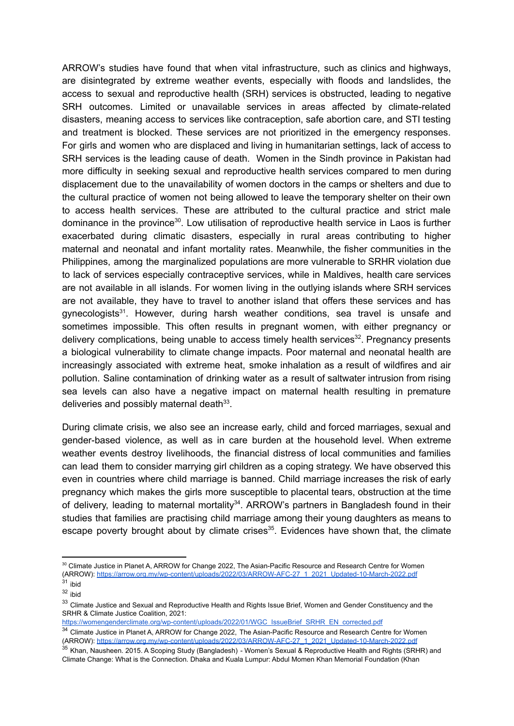ARROW's studies have found that when vital infrastructure, such as clinics and highways, are disintegrated by extreme weather events, especially with floods and landslides, the access to sexual and reproductive health (SRH) services is obstructed, leading to negative SRH outcomes. Limited or unavailable services in areas affected by climate-related disasters, meaning access to services like contraception, safe abortion care, and STI testing and treatment is blocked. These services are not prioritized in the emergency responses. For girls and women who are displaced and living in humanitarian settings, lack of access to SRH services is the leading cause of death. Women in the Sindh province in Pakistan had more difficulty in seeking sexual and reproductive health services compared to men during displacement due to the unavailability of women doctors in the camps or shelters and due to the cultural practice of women not being allowed to leave the temporary shelter on their own to access health services. These are attributed to the cultural practice and strict male dominance in the province<sup>30</sup>. Low utilisation of reproductive health service in Laos is further exacerbated during climatic disasters, especially in rural areas contributing to higher maternal and neonatal and infant mortality rates. Meanwhile, the fisher communities in the Philippines, among the marginalized populations are more vulnerable to SRHR violation due to lack of services especially contraceptive services, while in Maldives, health care services are not available in all islands. For women living in the outlying islands where SRH services are not available, they have to travel to another island that offers these services and has gynecologists<sup>31</sup>. However, during harsh weather conditions, sea travel is unsafe and sometimes impossible. This often results in pregnant women, with either pregnancy or delivery complications, being unable to access timely health services $32$ . Pregnancy presents a biological vulnerability to climate change impacts. Poor maternal and neonatal health are increasingly associated with extreme heat, smoke inhalation as a result of wildfires and air pollution. Saline contamination of drinking water as a result of saltwater intrusion from rising sea levels can also have a negative impact on maternal health resulting in premature deliveries and possibly maternal death $33$ .

During climate crisis, we also see an increase early, child and forced marriages, sexual and gender-based violence, as well as in care burden at the household level. When extreme weather events destroy livelihoods, the financial distress of local communities and families can lead them to consider marrying girl children as a coping strategy. We have observed this even in countries where child marriage is banned. Child marriage increases the risk of early pregnancy which makes the girls more susceptible to placental tears, obstruction at the time of delivery, leading to maternal mortality<sup>34</sup>. ARROW's partners in Bangladesh found in their studies that families are practising child marriage among their young daughters as means to escape poverty brought about by climate crises $35$ . Evidences have shown that, the climate

 $31$  ibid 30 Climate Justice in Planet A, ARROW for Change 2022, The Asian-Pacific Resource and Research Centre for Women (ARROW): [https://arrow.org.my/wp-content/uploads/2022/03/ARROW-AFC-27\\_1\\_2021\\_Updated-10-March-2022.pdf](https://arrow.org.my/wp-content/uploads/2022/03/ARROW-AFC-27_1_2021_Updated-10-March-2022.pdf)

<sup>32</sup> ibid

<sup>&</sup>lt;sup>33</sup> Climate Justice and Sexual and Reproductive Health and Rights Issue Brief, Women and Gender Constituency and the SRHR & Climate Justice Coalition, 2021: [https://womengenderclimate.org/wp-content/uploads/2022/01/WGC\\_IssueBrief\\_SRHR\\_EN\\_corrected.pdf](https://womengenderclimate.org/wp-content/uploads/2022/01/WGC_IssueBrief_SRHR_EN_corrected.pdf)

<sup>34</sup> Climate Justice in Planet A, ARROW for Change 2022, The Asian-Pacific Resource and Research Centre for Women (ARROW): [https://arrow.org.my/wp-content/uploads/2022/03/ARROW-AFC-27\\_1\\_2021\\_Updated-10-March-2022.pdf](https://arrow.org.my/wp-content/uploads/2022/03/ARROW-AFC-27_1_2021_Updated-10-March-2022.pdf)

<sup>&</sup>lt;sup>35</sup> Khan, Nausheen. 2015. A Scoping Study (Bangladesh) - Women's Sexual & Reproductive Health and Rights (SRHR) and Climate Change: What is the Connection. Dhaka and Kuala Lumpur: Abdul Momen Khan Memorial Foundation (Khan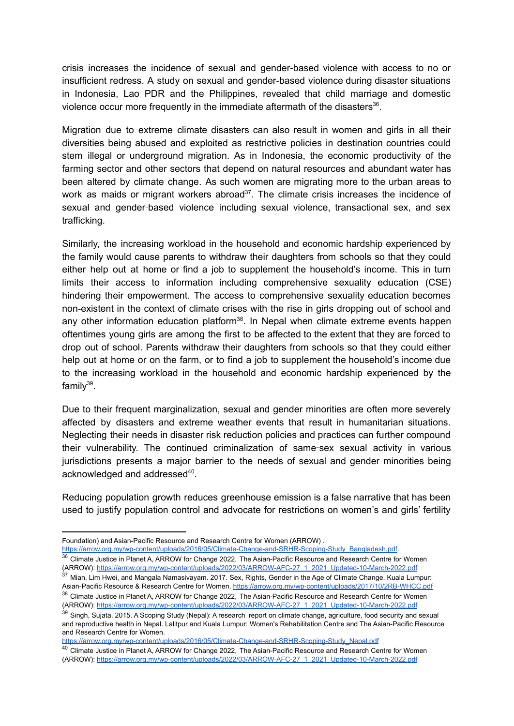crisis increases the incidence of sexual and gender-based violence with access to no or insufficient redress. A study on sexual and gender-based violence during disaster situations in Indonesia, Lao PDR and the Philippines, revealed that child marriage and domestic violence occur more frequently in the immediate aftermath of the disasters<sup>36</sup>.

Migration due to extreme climate disasters can also result in women and girls in all their diversities being abused and exploited as restrictive policies in destination countries could stem illegal or underground migration. As in Indonesia, the economic productivity of the farming sector and other sectors that depend on natural resources and abundant water has been altered by climate change. As such women are migrating more to the urban areas to work as maids or migrant workers abroad<sup>37</sup>. The climate crisis increases the incidence of sexual and gender‑based violence including sexual violence, transactional sex, and sex trafficking.

Similarly, the increasing workload in the household and economic hardship experienced by the family would cause parents to withdraw their daughters from schools so that they could either help out at home or find a job to supplement the household's income. This in turn limits their access to information including comprehensive sexuality education (CSE) hindering their empowerment. The access to comprehensive sexuality education becomes non-existent in the context of climate crises with the rise in girls dropping out of school and any other information education platform<sup>38</sup>. In Nepal when climate extreme events happen oftentimes young girls are among the first to be affected to the extent that they are forced to drop out of school. Parents withdraw their daughters from schools so that they could either help out at home or on the farm, or to find a job to supplement the household's income due to the increasing workload in the household and economic hardship experienced by the family<sup>39</sup>.

Due to their frequent marginalization, sexual and gender minorities are often more severely affected by disasters and extreme weather events that result in humanitarian situations. Neglecting their needs in disaster risk reduction policies and practices can further compound their vulnerability. The continued criminalization of same‑sex sexual activity in various jurisdictions presents a major barrier to the needs of sexual and gender minorities being acknowledged and addressed $40$ .

Reducing population growth reduces greenhouse emission is a false narrative that has been used to justify population control and advocate for restrictions on women's and girls' fertility

[https://arrow.org.my/wp-content/uploads/2016/05/Climate-Change-and-SRHR-Scoping-Study\\_Nepal.pdf](https://arrow.org.my/wp-content/uploads/2016/05/Climate-Change-and-SRHR-Scoping-Study_Nepal.pdf)

Foundation) and Asian-Pacific Resource and Research Centre for Women (ARROW) .

<sup>&</sup>lt;sup>36</sup> Climate Justice in Planet A, ARROW for Change 2022, The Asian-Pacific Resource and Research Centre for Women (ARROW): [https://arrow.org.my/wp-content/uploads/2022/03/ARROW-AFC-27\\_1\\_2021\\_Updated-10-March-2022.pdf](https://arrow.org.my/wp-content/uploads/2022/03/ARROW-AFC-27_1_2021_Updated-10-March-2022.pdf) [https://arrow.org.my/wp-content/uploads/2016/05/Climate-Change-and-SRHR-Scoping-Study\\_Bangladesh.pdf.](https://arrow.org.my/wp-content/uploads/2016/05/Climate-Change-and-SRHR-Scoping-Study_Bangladesh.pdf)

 $^{37}$  Mian, Lim Hwei, and Mangala Namasivayam. 2017. Sex, Rights, Gender in the Age of Climate Change. Kuala Lumpur: Asian-Pacific Resource & Research Centre for Women. <https://arrow.org.my/wp-content/uploads/2017/10/2RB-WHCC.pdf>

<sup>38</sup> Climate Justice in Planet A, ARROW for Change 2022, The Asian-Pacific Resource and Research Centre for Women (ARROW): [https://arrow.org.my/wp-content/uploads/2022/03/ARROW-AFC-27\\_1\\_2021\\_Updated-10-March-2022.pdf](https://arrow.org.my/wp-content/uploads/2022/03/ARROW-AFC-27_1_2021_Updated-10-March-2022.pdf)

<sup>39</sup> Singh, Sujata. 2015. A Scoping Study (Nepal): A research report on climate change, agriculture, food security and sexual and reproductive health in Nepal. Lalitpur and Kuala Lumpur: Women's Rehabilitation Centre and The Asian-Pacific Resource and Research Centre for Women[.](https://arrow.org.my/wp-content/uploads/2016/05/Climate-Change-and-SRHR-Scoping-Study_Nepal.pdf)

<sup>&</sup>lt;sup>40</sup> Climate Justice in Planet A, ARROW for Change 2022, The Asian-Pacific Resource and Research Centre for Women (ARROW): [https://arrow.org.my/wp-content/uploads/2022/03/ARROW-AFC-27\\_1\\_2021\\_Updated-10-March-2022.pdf](https://arrow.org.my/wp-content/uploads/2022/03/ARROW-AFC-27_1_2021_Updated-10-March-2022.pdf)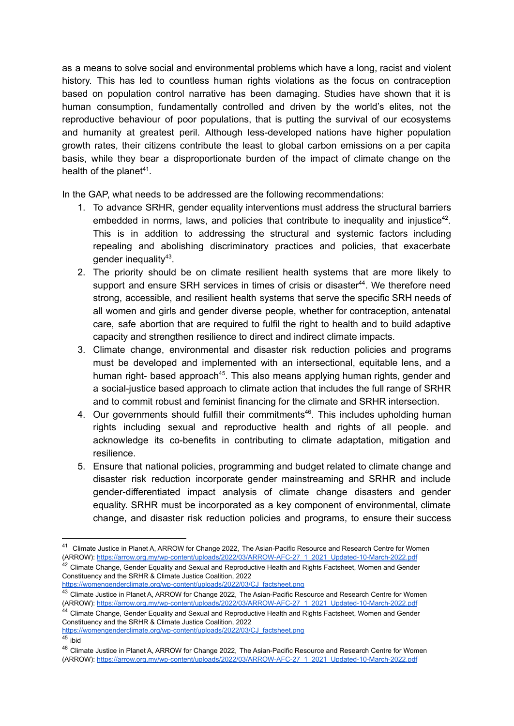as a means to solve social and environmental problems which have a long, racist and violent history. This has led to countless human rights violations as the focus on contraception based on population control narrative has been damaging. Studies have shown that it is human consumption, fundamentally controlled and driven by the world's elites, not the reproductive behaviour of poor populations, that is putting the survival of our ecosystems and humanity at greatest peril. Although less-developed nations have higher population growth rates, their citizens contribute the least to global carbon emissions on a per capita basis, while they bear a disproportionate burden of the impact of climate change on the health of the planet<sup>41</sup>.

In the GAP, what needs to be addressed are the following recommendations:

- 1. To advance SRHR, gender equality interventions must address the structural barriers embedded in norms, laws, and policies that contribute to inequality and injustice<sup>42</sup>. This is in addition to addressing the structural and systemic factors including repealing and abolishing discriminatory practices and policies, that exacerbate gender inequality<sup>43</sup>.
- 2. The priority should be on climate resilient health systems that are more likely to support and ensure SRH services in times of crisis or disaster<sup>44</sup>. We therefore need strong, accessible, and resilient health systems that serve the specific SRH needs of all women and girls and gender diverse people, whether for contraception, antenatal care, safe abortion that are required to fulfil the right to health and to build adaptive capacity and strengthen resilience to direct and indirect climate impacts.
- 3. Climate change, environmental and disaster risk reduction policies and programs must be developed and implemented with an intersectional, equitable lens, and a human right- based approach<sup>45</sup>. This also means applying human rights, gender and a social-justice based approach to climate action that includes the full range of SRHR and to commit robust and feminist financing for the climate and SRHR intersection.
- 4. Our governments should fulfill their commitments<sup>46</sup>. This includes upholding human rights including sexual and reproductive health and rights of all people. and acknowledge its co-benefits in contributing to climate adaptation, mitigation and resilience.
- 5. Ensure that national policies, programming and budget related to climate change and disaster risk reduction incorporate gender mainstreaming and SRHR and include gender-differentiated impact analysis of climate change disasters and gender equality. SRHR must be incorporated as a key component of environmental, climate change, and disaster risk reduction policies and programs, to ensure their success

Constituency and the SRHR & Climate Justice Coalition, 2022

[https://womengenderclimate.org/wp-content/uploads/2022/03/CJ\\_factsheet.png](https://womengenderclimate.org/wp-content/uploads/2022/03/CJ_factsheet.png)

<sup>&</sup>lt;sup>42</sup> Climate Change, Gender Equality and Sexual and Reproductive Health and Rights Factsheet, Women and Gender <sup>41</sup> Climate Justice in Planet A, ARROW for Change 2022, The Asian-Pacific Resource and Research Centre for Women (ARROW): [https://arrow.org.my/wp-content/uploads/2022/03/ARROW-AFC-27\\_1\\_2021\\_Updated-10-March-2022.pdf](https://arrow.org.my/wp-content/uploads/2022/03/ARROW-AFC-27_1_2021_Updated-10-March-2022.pdf)

<sup>43</sup> Climate Justice in Planet A, ARROW for Change 2022, The Asian-Pacific Resource and Research Centre for Women (ARROW): [https://arrow.org.my/wp-content/uploads/2022/03/ARROW-AFC-27\\_1\\_2021\\_Updated-10-March-2022.pdf](https://arrow.org.my/wp-content/uploads/2022/03/ARROW-AFC-27_1_2021_Updated-10-March-2022.pdf) [https://womengenderclimate.org/wp-content/uploads/2022/03/CJ\\_factsheet.png](https://womengenderclimate.org/wp-content/uploads/2022/03/CJ_factsheet.png)

<sup>&</sup>lt;sup>44</sup> Climate Change, Gender Equality and Sexual and Reproductive Health and Rights Factsheet, Women and Gender Constituency and the SRHR & Climate Justice Coalition, 2022

 $45$  ibid

<sup>&</sup>lt;sup>46</sup> Climate Justice in Planet A, ARROW for Change 2022, The Asian-Pacific Resource and Research Centre for Women (ARROW): [https://arrow.org.my/wp-content/uploads/2022/03/ARROW-AFC-27\\_1\\_2021\\_Updated-10-March-2022.pdf](https://arrow.org.my/wp-content/uploads/2022/03/ARROW-AFC-27_1_2021_Updated-10-March-2022.pdf)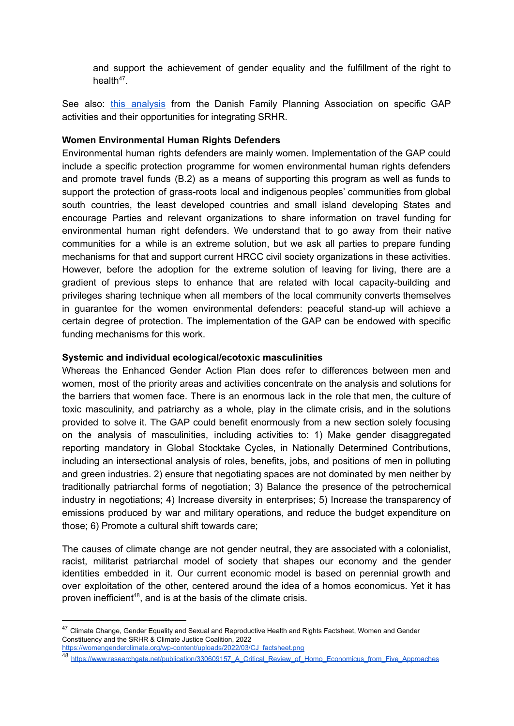and support the achievement of gender equality and the fulfillment of the right to health $47$ .

See also: this [analysis](https://drive.google.com/file/u/1/d/1LcaZLJ-tq3eguAFSkOaTUlB5x43PV_7V/view?usp=sharing) from the Danish Family Planning Association on specific GAP activities and their opportunities for integrating SRHR.

#### **Women Environmental Human Rights Defenders**

Environmental human rights defenders are mainly women. Implementation of the GAP could include a specific protection programme for women environmental human rights defenders and promote travel funds (B.2) as a means of supporting this program as well as funds to support the protection of grass-roots local and indigenous peoples' communities from global south countries, the least developed countries and small island developing States and encourage Parties and relevant organizations to share information on travel funding for environmental human right defenders. We understand that to go away from their native communities for a while is an extreme solution, but we ask all parties to prepare funding mechanisms for that and support current HRCC civil society organizations in these activities. However, before the adoption for the extreme solution of leaving for living, there are a gradient of previous steps to enhance that are related with local capacity-building and privileges sharing technique when all members of the local community converts themselves in guarantee for the women environmental defenders: peaceful stand-up will achieve a certain degree of protection. The implementation of the GAP can be endowed with specific funding mechanisms for this work.

#### **Systemic and individual ecological/ecotoxic masculinities**

Whereas the Enhanced Gender Action Plan does refer to differences between men and women, most of the priority areas and activities concentrate on the analysis and solutions for the barriers that women face. There is an enormous lack in the role that men, the culture of toxic masculinity, and patriarchy as a whole, play in the climate crisis, and in the solutions provided to solve it. The GAP could benefit enormously from a new section solely focusing on the analysis of masculinities, including activities to: 1) Make gender disaggregated reporting mandatory in Global Stocktake Cycles, in Nationally Determined Contributions, including an intersectional analysis of roles, benefits, jobs, and positions of men in polluting and green industries. 2) ensure that negotiating spaces are not dominated by men neither by traditionally patriarchal forms of negotiation; 3) Balance the presence of the petrochemical industry in negotiations; 4) Increase diversity in enterprises; 5) Increase the transparency of emissions produced by war and military operations, and reduce the budget expenditure on those; 6) Promote a cultural shift towards care;

The causes of climate change are not gender neutral, they are associated with a colonialist, racist, militarist patriarchal model of society that shapes our economy and the gender identities embedded in it. Our current economic model is based on perennial growth and over exploitation of the other, centered around the idea of a homos economicus. Yet it has proven inefficient<sup>48</sup>, and is at the basis of the climate crisis.

<sup>&</sup>lt;sup>47</sup> Climate Change, Gender Equality and Sexual and Reproductive Health and Rights Factsheet, Women and Gender Constituency and the SRHR & Climate Justice Coalition, 2022

[https://womengenderclimate.org/wp-content/uploads/2022/03/CJ\\_factsheet.png](https://womengenderclimate.org/wp-content/uploads/2022/03/CJ_factsheet.png)

<sup>48</sup> [https://www.researchgate.net/publication/330609157\\_A\\_Critical\\_Review\\_of\\_Homo\\_Economicus\\_from\\_Five\\_Approaches](https://www.researchgate.net/publication/330609157_A_Critical_Review_of_Homo_Economicus_from_Five_Approaches)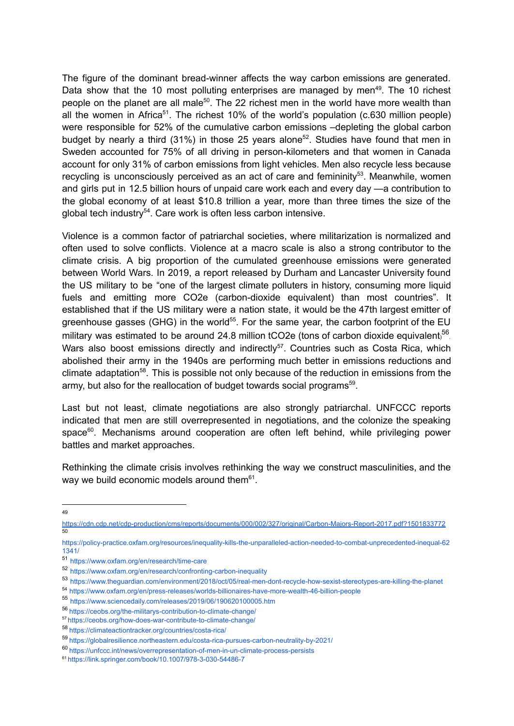The figure of the dominant bread-winner affects the way carbon emissions are generated. Data show that the 10 most polluting enterprises are managed by men<sup>49</sup>. The 10 richest people on the planet are all male<sup>50</sup>. The 22 richest men in the world have more wealth than all the women in Africa<sup>51</sup>. The richest 10% of the world's population (c.630 million people) were responsible for 52% of the cumulative carbon emissions –depleting the global carbon budget by nearly a third (31%) in those 25 years alone<sup>52</sup>. Studies have found that men in Sweden accounted for 75% of all driving in person-kilometers and that women in Canada account for only 31% of carbon emissions from light vehicles. Men also recycle less because recycling is unconsciously perceived as an act of care and femininity<sup>53</sup>. Meanwhile, women and girls put in 12.5 billion hours of unpaid care work each and every day —a contribution to the global economy of at least \$10.8 trillion a year, more than three times the size of the global tech industry<sup>54</sup>. Care work is often less carbon intensive.

Violence is a common factor of patriarchal societies, where militarization is normalized and often used to solve conflicts. Violence at a macro scale is also a strong contributor to the climate crisis. A big proportion of the cumulated greenhouse emissions were generated between World Wars. In 2019, a report released by Durham and Lancaster University found the US military to be "one of the largest climate polluters in history, consuming more liquid fuels and emitting more CO2e (carbon-dioxide equivalent) than most countries". It established that if the US military were a nation state, it would be the 47th largest emitter of greenhouse gasses (GHG) in the world<sup>55</sup>. For the same year, the carbon footprint of the EU military was estimated to be around 24.8 million tCO2e (tons of carbon dioxide equivalent,  $56$ . Wars also boost emissions directly and indirectly<sup>57</sup>. Countries such as Costa Rica, which abolished their army in the 1940s are performing much better in emissions reductions and climate adaptation<sup>58</sup>. This is possible not only because of the reduction in emissions from the army, but also for the reallocation of budget towards social programs<sup>59</sup>.

Last but not least, climate negotiations are also strongly patriarchal. UNFCCC reports indicated that men are still overrepresented in negotiations, and the colonize the speaking space<sup>60</sup>. Mechanisms around cooperation are often left behind, while privileging power battles and market approaches.

Rethinking the climate crisis involves rethinking the way we construct masculinities, and the way we build economic models around them $61$ .

 $49$ 

<sup>50</sup> https://cdn.cdp.net/cdp-production/cms/reports/documents/000/002/327/original/Carbon-Majors-Report-2017.pdf?1501833772

https://policy-practice.oxfam.org/resources/inequality-kills-the-unparalleled-action-needed-to-combat-unprecedented-inequal-62 1341/

<sup>51</sup> https://www.oxfam.org/en/research/time-care

<sup>52</sup> https://www.oxfam.org/en/research/confronting-carbon-inequality

<sup>53</sup> https://www.theguardian.com/environment/2018/oct/05/real-men-dont-recycle-how-sexist-stereotypes-are-killing-the-planet

<sup>54</sup> https://www.oxfam.org/en/press-releases/worlds-billionaires-have-more-wealth-46-billion-people

<sup>55</sup> https://www.sciencedaily.com/releases/2019/06/190620100005.htm

<sup>56</sup> https://ceobs.org/the-militarys-contribution-to-climate-change/

<sup>57</sup> https://ceobs.org/how-does-war-contribute-to-climate-change/

<sup>58</sup> https://climateactiontracker.org/countries/costa-rica/

<sup>59</sup> https://globalresilience.northeastern.edu/costa-rica-pursues-carbon-neutrality-by-2021/

<sup>60</sup> https://unfccc.int/news/overrepresentation-of-men-in-un-climate-process-persists

<sup>61</sup> https://link.springer.com/book/10.1007/978-3-030-54486-7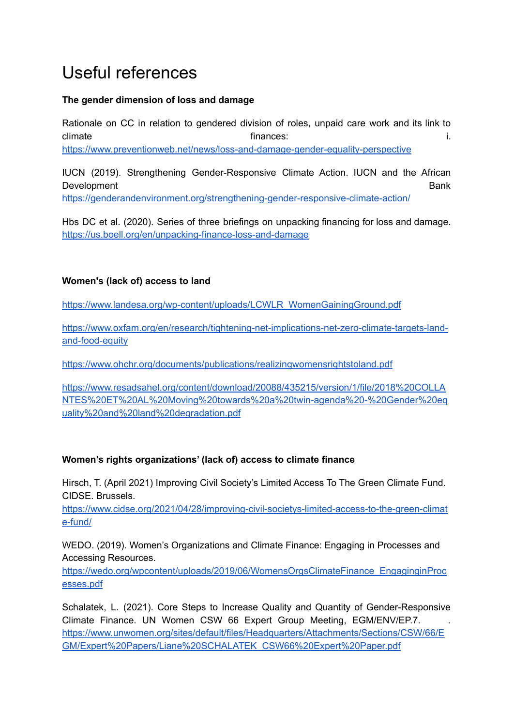## <span id="page-24-0"></span>Useful references

#### **The gender dimension of loss and damage**

Rationale on CC in relation to gendered division of roles, unpaid care work and its link to climate intervals of the finances: i.e. the finances: i.e. the finances is a set of the finance of the finance of the finance of the finance of the finance of the finance of the finance of the finance of the finance of the <https://www.preventionweb.net/news/loss-and-damage-gender-equality-perspective>

IUCN (2019). Strengthening Gender-Responsive Climate Action. IUCN and the African Development Bank <https://genderandenvironment.org/strengthening-gender-responsive-climate-action/>

Hbs DC et al. (2020). Series of three briefings on unpacking financing for loss and damage. <https://us.boell.org/en/unpacking-finance-loss-and-damage>

#### **Women's (lack of) access to land**

[https://www.landesa.org/wp-content/uploads/LCWLR\\_WomenGainingGround.pdf](https://www.landesa.org/wp-content/uploads/LCWLR_WomenGainingGround.pdf)

[https://www.oxfam.org/en/research/tightening-net-implications-net-zero-climate-targets-land](https://www.oxfam.org/en/research/tightening-net-implications-net-zero-climate-targets-land-and-food-equity)[and-food-equity](https://www.oxfam.org/en/research/tightening-net-implications-net-zero-climate-targets-land-and-food-equity)

<https://www.ohchr.org/documents/publications/realizingwomensrightstoland.pdf>

[https://www.resadsahel.org/content/download/20088/435215/version/1/file/2018%20COLLA](https://www.resadsahel.org/content/download/20088/435215/version/1/file/2018%20COLLANTES%20ET%20AL%20Moving%20towards%20a%20twin-agenda%20-%20Gender%20equality%20and%20land%20degradation.pdf) [NTES%20ET%20AL%20Moving%20towards%20a%20twin-agenda%20-%20Gender%20eq](https://www.resadsahel.org/content/download/20088/435215/version/1/file/2018%20COLLANTES%20ET%20AL%20Moving%20towards%20a%20twin-agenda%20-%20Gender%20equality%20and%20land%20degradation.pdf) [uality%20and%20land%20degradation.pdf](https://www.resadsahel.org/content/download/20088/435215/version/1/file/2018%20COLLANTES%20ET%20AL%20Moving%20towards%20a%20twin-agenda%20-%20Gender%20equality%20and%20land%20degradation.pdf)

#### **Women's rights organizations' (lack of) access to climate finance**

Hirsch, T. (April 2021) Improving Civil Society's Limited Access To The Green Climate Fund. CIDSE. Brussels.

[https://www.cidse.org/2021/04/28/improving-civil-societys-limited-access-to-the-green-climat](https://www.cidse.org/2021/04/28/improving-civil-societys-limited-access-to-the-green-climate-fund/) [e-fund/](https://www.cidse.org/2021/04/28/improving-civil-societys-limited-access-to-the-green-climate-fund/)

WEDO. (2019). Women's Organizations and Climate Finance: Engaging in Processes and Accessing Resources.

[https://wedo.org/wpcontent/uploads/2019/06/WomensOrgsClimateFinance\\_EngaginginProc](https://wedo.org/wpcontent/uploads/2019/06/WomensOrgsClimateFinance_EngaginginProcesses.pdf) [esses.pdf](https://wedo.org/wpcontent/uploads/2019/06/WomensOrgsClimateFinance_EngaginginProcesses.pdf)

Schalatek, L. (2021). Core Steps to Increase Quality and Quantity of Gender-Responsive Climate Finance. UN Women CSW 66 Expert Group Meeting, EGM/ENV/EP.7. . [https://www.unwomen.org/sites/default/files/Headquarters/Attachments/Sections/CSW/66/E](https://www.unwomen.org/sites/default/files/Headquarters/Attachments/Sections/CSW/66/EGM/Expert%20Papers/Liane%20SCHALATEK_CSW66%20Expert%20Paper.pdf) [GM/Expert%20Papers/Liane%20SCHALATEK\\_CSW66%20Expert%20Paper.pdf](https://www.unwomen.org/sites/default/files/Headquarters/Attachments/Sections/CSW/66/EGM/Expert%20Papers/Liane%20SCHALATEK_CSW66%20Expert%20Paper.pdf)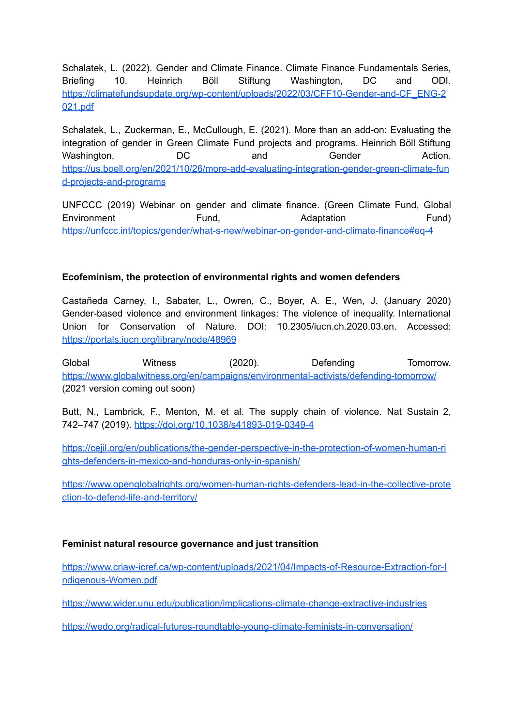Schalatek, L. (2022). Gender and Climate Finance. Climate Finance Fundamentals Series, Briefing 10. Heinrich Böll Stiftung Washington, DC and ODI. [https://climatefundsupdate.org/wp-content/uploads/2022/03/CFF10-Gender-and-CF\\_ENG-2](https://climatefundsupdate.org/wp-content/uploads/2022/03/CFF10-Gender-and-CF_ENG-2021.pdf) [021.pdf](https://climatefundsupdate.org/wp-content/uploads/2022/03/CFF10-Gender-and-CF_ENG-2021.pdf)

Schalatek, L., Zuckerman, E., McCullough, E. (2021). More than an add-on: Evaluating the integration of gender in Green Climate Fund projects and programs. Heinrich Böll Stiftung Washington,  $DC$  and Gender Action. [https://us.boell.org/en/2021/10/26/more-add-evaluating-integration-gender-green-climate-fun](https://us.boell.org/en/2021/10/26/more-add-evaluating-integration-gender-green-climate-fund-projects-and-programs) [d-projects-and-programs](https://us.boell.org/en/2021/10/26/more-add-evaluating-integration-gender-green-climate-fund-projects-and-programs)

UNFCCC (2019) Webinar on gender and climate finance. (Green Climate Fund, Global Environment Fund, Fund, Adaptation Fund) <https://unfccc.int/topics/gender/what-s-new/webinar-on-gender-and-climate-finance#eq-4>

#### **Ecofeminism, the protection of environmental rights and women defenders**

Castañeda Carney, I., Sabater, L., Owren, C., Boyer, A. E., Wen, J. (January 2020) Gender-based violence and environment linkages: The violence of inequality. International Union for Conservation of Nature. DOI: 10.2305/iucn.ch.2020.03.en. Accessed: <https://portals.iucn.org/library/node/48969>

Global **Witness** (2020). Defending Tomorrow. <https://www.globalwitness.org/en/campaigns/environmental-activists/defending-tomorrow/> (2021 version coming out soon)

Butt, N., Lambrick, F., Menton, M. et al. The supply chain of violence. Nat Sustain 2, 742–747 (2019). <https://doi.org/10.1038/s41893-019-0349-4>

[https://cejil.org/en/publications/the-gender-perspective-in-the-protection-of-women-human-ri](https://cejil.org/en/publications/the-gender-perspective-in-the-protection-of-women-human-rights-defenders-in-mexico-and-honduras-only-in-spanish/) [ghts-defenders-in-mexico-and-honduras-only-in-spanish/](https://cejil.org/en/publications/the-gender-perspective-in-the-protection-of-women-human-rights-defenders-in-mexico-and-honduras-only-in-spanish/)

[https://www.openglobalrights.org/women-human-rights-defenders-lead-in-the-collective-prote](https://www.openglobalrights.org/women-human-rights-defenders-lead-in-the-collective-protection-to-defend-life-and-territory/) [ction-to-defend-life-and-territory/](https://www.openglobalrights.org/women-human-rights-defenders-lead-in-the-collective-protection-to-defend-life-and-territory/)

#### **Feminist natural resource governance and just transition**

[https://www.criaw-icref.ca/wp-content/uploads/2021/04/Impacts-of-Resource-Extraction-for-I](https://www.criaw-icref.ca/wp-content/uploads/2021/04/Impacts-of-Resource-Extraction-for-Indigenous-Women.pdf) [ndigenous-Women.pdf](https://www.criaw-icref.ca/wp-content/uploads/2021/04/Impacts-of-Resource-Extraction-for-Indigenous-Women.pdf)

<https://www.wider.unu.edu/publication/implications-climate-change-extractive-industries>

<https://wedo.org/radical-futures-roundtable-young-climate-feminists-in-conversation/>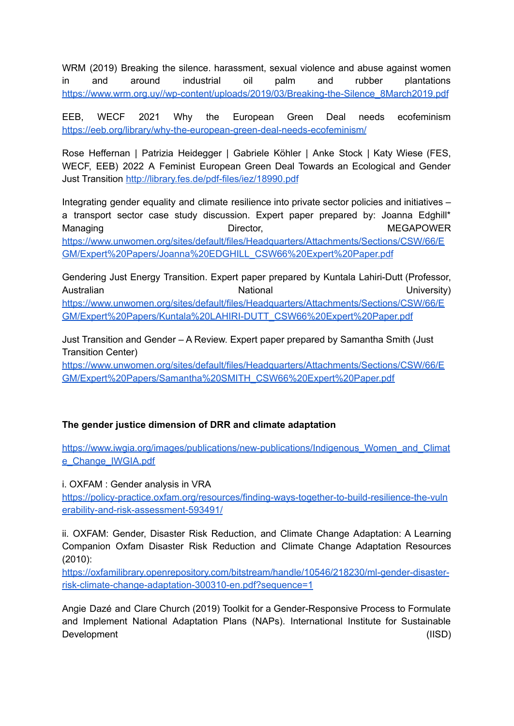WRM (2019) Breaking the silence. harassment, sexual violence and abuse against women in and around industrial oil palm and rubber plantations [https://www.wrm.org.uy//wp-content/uploads/2019/03/Breaking-the-Silence\\_8March2019.pdf](https://www.wrm.org.uy//wp-content/uploads/2019/03/Breaking-the-Silence_8March2019.pdf)

EEB, WECF 2021 Why the European Green Deal needs ecofeminism <https://eeb.org/library/why-the-european-green-deal-needs-ecofeminism/>

Rose Heffernan | Patrizia Heidegger | Gabriele Köhler | Anke Stock | Katy Wiese (FES, WECF, EEB) 2022 A Feminist European Green Deal Towards an Ecological and Gender Just Transition <http://library.fes.de/pdf-files/iez/18990.pdf>

Integrating gender equality and climate resilience into private sector policies and initiatives – a transport sector case study discussion. Expert paper prepared by: Joanna Edghill\* Managing **Director, Communist Communist Communist Communist Communist Communist Communist Communist Communist Communist Communist Communist Communist Communist Communist Communist Communist Communist Communist Communist Co** [https://www.unwomen.org/sites/default/files/Headquarters/Attachments/Sections/CSW/66/E](https://www.unwomen.org/sites/default/files/Headquarters/Attachments/Sections/CSW/66/EGM/Expert%20Papers/Joanna%20EDGHILL_CSW66%20Expert%20Paper.pdf) [GM/Expert%20Papers/Joanna%20EDGHILL\\_CSW66%20Expert%20Paper.pdf](https://www.unwomen.org/sites/default/files/Headquarters/Attachments/Sections/CSW/66/EGM/Expert%20Papers/Joanna%20EDGHILL_CSW66%20Expert%20Paper.pdf)

Gendering Just Energy Transition. Expert paper prepared by Kuntala Lahiri-Dutt (Professor, Australian **National Mational Communist Contract Communist Communist Communist Communist Communist Communist Communist Communist Communist Communist Communist Communist Communist Communist Communist Communist Communist Com** [https://www.unwomen.org/sites/default/files/Headquarters/Attachments/Sections/CSW/66/E](https://www.unwomen.org/sites/default/files/Headquarters/Attachments/Sections/CSW/66/EGM/Expert%20Papers/Kuntala%20LAHIRI-DUTT_CSW66%20Expert%20Paper.pdf) [GM/Expert%20Papers/Kuntala%20LAHIRI-DUTT\\_CSW66%20Expert%20Paper.pdf](https://www.unwomen.org/sites/default/files/Headquarters/Attachments/Sections/CSW/66/EGM/Expert%20Papers/Kuntala%20LAHIRI-DUTT_CSW66%20Expert%20Paper.pdf)

Just Transition and Gender – A Review. Expert paper prepared by Samantha Smith (Just Transition Center)

[https://www.unwomen.org/sites/default/files/Headquarters/Attachments/Sections/CSW/66/E](https://www.unwomen.org/sites/default/files/Headquarters/Attachments/Sections/CSW/66/EGM/Expert%20Papers/Samantha%20SMITH_CSW66%20Expert%20Paper.pdf) [GM/Expert%20Papers/Samantha%20SMITH\\_CSW66%20Expert%20Paper.pdf](https://www.unwomen.org/sites/default/files/Headquarters/Attachments/Sections/CSW/66/EGM/Expert%20Papers/Samantha%20SMITH_CSW66%20Expert%20Paper.pdf)

#### **The gender justice dimension of DRR and climate adaptation**

[https://www.iwgia.org/images/publications/new-publications/Indigenous\\_Women\\_and\\_Climat](https://www.iwgia.org/images/publications/new-publications/Indigenous_Women_and_Climate_Change_IWGIA.pdf) [e\\_Change\\_IWGIA.pdf](https://www.iwgia.org/images/publications/new-publications/Indigenous_Women_and_Climate_Change_IWGIA.pdf)

i. OXFAM : Gender analysis in VRA

[https://policy-practice.oxfam.org/resources/finding-ways-together-to-build-resilience-the-vuln](https://policy-practice.oxfam.org/resources/finding-ways-together-to-build-resilience-the-vulnerability-and-risk-assessment-593491/) [erability-and-risk-assessment-593491/](https://policy-practice.oxfam.org/resources/finding-ways-together-to-build-resilience-the-vulnerability-and-risk-assessment-593491/)

ii. OXFAM: Gender, Disaster Risk Reduction, and Climate Change Adaptation: A Learning Companion Oxfam Disaster Risk Reduction and Climate Change Adaptation Resources (2010):

[https://oxfamilibrary.openrepository.com/bitstream/handle/10546/218230/ml-gender-disaster](https://oxfamilibrary.openrepository.com/bitstream/handle/10546/218230/ml-gender-disaster-risk-climate-change-adaptation-300310-en.pdf?sequence=1)[risk-climate-change-adaptation-300310-en.pdf?sequence=1](https://oxfamilibrary.openrepository.com/bitstream/handle/10546/218230/ml-gender-disaster-risk-climate-change-adaptation-300310-en.pdf?sequence=1)

Angie Dazé and Clare Church (2019) Toolkit for a Gender-Responsive Process to Formulate and Implement National Adaptation Plans (NAPs). International Institute for Sustainable Development (IISD)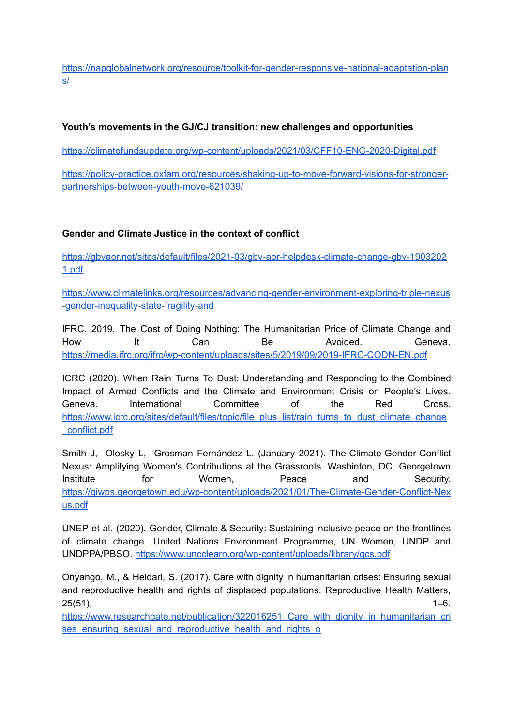[https://napglobalnetwork.org/resource/toolkit-for-gender-responsive-national-adaptation-plan](https://napglobalnetwork.org/resource/toolkit-for-gender-responsive-national-adaptation-plans/) [s/](https://napglobalnetwork.org/resource/toolkit-for-gender-responsive-national-adaptation-plans/)

#### **Youth's movements in the GJ/CJ transition: new challenges and opportunities**

<https://climatefundsupdate.org/wp-content/uploads/2021/03/CFF10-ENG-2020-Digital.pdf>

[https://policy-practice.oxfam.org/resources/shaking-up-to-move-forward-visions-for-stronger](https://policy-practice.oxfam.org/resources/shaking-up-to-move-forward-visions-for-stronger-partnerships-between-youth-move-621039/)[partnerships-between-youth-move-621039/](https://policy-practice.oxfam.org/resources/shaking-up-to-move-forward-visions-for-stronger-partnerships-between-youth-move-621039/)

#### **Gender and Climate Justice in the context of conflict**

[https://gbvaor.net/sites/default/files/2021-03/gbv-aor-helpdesk-climate-change-gbv-1903202](https://gbvaor.net/sites/default/files/2021-03/gbv-aor-helpdesk-climate-change-gbv-19032021.pdf) [1.pdf](https://gbvaor.net/sites/default/files/2021-03/gbv-aor-helpdesk-climate-change-gbv-19032021.pdf)

[https://www.climatelinks.org/resources/advancing-gender-environment-exploring-triple-nexus](https://www.climatelinks.org/resources/advancing-gender-environment-exploring-triple-nexus-gender-inequality-state-fragility-and) [-gender-inequality-state-fragility-and](https://www.climatelinks.org/resources/advancing-gender-environment-exploring-triple-nexus-gender-inequality-state-fragility-and)

IFRC. 2019. The Cost of Doing Nothing: The Humanitarian Price of Climate Change and How It Can Be Avoided. Geneva. <https://media.ifrc.org/ifrc/wp-content/uploads/sites/5/2019/09/2019-IFRC-CODN-EN.pdf>

ICRC (2020). When Rain Turns To Dust: Understanding and Responding to the Combined Impact of Armed Conflicts and the Climate and Environment Crisis on People's Lives. Geneva. International Committee of the Red Cross. [https://www.icrc.org/sites/default/files/topic/file\\_plus\\_list/rain\\_turns\\_to\\_dust\\_climate\\_change](https://www.icrc.org/sites/default/files/topic/file_plus_list/rain_turns_to_dust_climate_change_conflict.pdf) [\\_conflict.pdf](https://www.icrc.org/sites/default/files/topic/file_plus_list/rain_turns_to_dust_climate_change_conflict.pdf)

Smith J, Olosky L, Grosman Fernández L. (January 2021). The Climate-Gender-Conflict Nexus: Amplifying Women's Contributions at the Grassroots. Washinton, DC. Georgetown Institute for Women, Peace and Security. [https://giwps.georgetown.edu/wp-content/uploads/2021/01/The-Climate-Gender-Conflict-Nex](https://giwps.georgetown.edu/wp-content/uploads/2021/01/The-Climate-Gender-Conflict-Nexus.pdf) [us.pdf](https://giwps.georgetown.edu/wp-content/uploads/2021/01/The-Climate-Gender-Conflict-Nexus.pdf)

UNEP et al. (2020). Gender, Climate & Security: Sustaining inclusive peace on the frontlines of climate change. United Nations Environment Programme, UN Women, UNDP and UNDPPA/PBSO. <https://www.uncclearn.org/wp-content/uploads/library/gcs.pdf>

Onyango, M., & Heidari, S. (2017). Care with dignity in humanitarian crises: Ensuring sexual and reproductive health and rights of displaced populations. Reproductive Health Matters,  $25(51)$ ,  $1-6$ .

[https://www.researchgate.net/publication/322016251\\_Care\\_with\\_dignity\\_in\\_humanitarian\\_cri](https://www.researchgate.net/publication/322016251_Care_with_dignity_in_humanitarian_crises_ensuring_sexual_and_reproductive_health_and_rights_o) ses ensuring sexual and reproductive health and rights of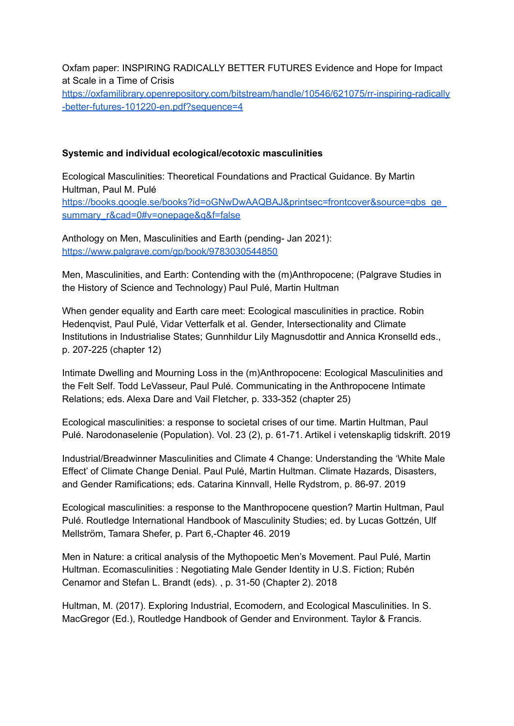Oxfam paper: INSPIRING RADICALLY BETTER FUTURES Evidence and Hope for Impact at Scale in a Time of Crisis [https://oxfamilibrary.openrepository.com/bitstream/handle/10546/621075/rr-inspiring-radically](https://oxfamilibrary.openrepository.com/bitstream/handle/10546/621075/rr-inspiring-radically-better-futures-101220-en.pdf?sequence=4) [-better-futures-101220-en.pdf?sequence=4](https://oxfamilibrary.openrepository.com/bitstream/handle/10546/621075/rr-inspiring-radically-better-futures-101220-en.pdf?sequence=4)

#### **Systemic and individual ecological/ecotoxic masculinities**

Ecological Masculinities: Theoretical Foundations and Practical Guidance. By Martin Hultman, Paul M. Pulé [https://books.google.se/books?id=oGNwDwAAQBAJ&printsec=frontcover&source=gbs\\_ge\\_](https://books.google.se/books?id=oGNwDwAAQBAJ&printsec=frontcover&source=gbs_ge_summary_r&cad=0#v=onepage&q&f=false) summary r&cad=0#v=onepage&g&f=false

Anthology on Men, Masculinities and Earth (pending- Jan 2021): <https://www.palgrave.com/gp/book/9783030544850>

Men, Masculinities, and Earth: Contending with the (m)Anthropocene; (Palgrave Studies in the History of Science and Technology) Paul Pulé, Martin Hultman

When gender equality and Earth care meet: Ecological masculinities in practice. Robin Hedenqvist, Paul Pulé, Vidar Vetterfalk et al. Gender, Intersectionality and Climate Institutions in Industrialise States; Gunnhildur Lily Magnusdottir and Annica Kronselld eds., p. 207-225 (chapter 12)

Intimate Dwelling and Mourning Loss in the (m)Anthropocene: Ecological Masculinities and the Felt Self. Todd LeVasseur, Paul Pulé. Communicating in the Anthropocene Intimate Relations; eds. Alexa Dare and Vail Fletcher, p. 333-352 (chapter 25)

Ecological masculinities: a response to societal crises of our time. Martin Hultman, Paul Pulé. Narodonaselenie (Population). Vol. 23 (2), p. 61-71. Artikel i vetenskaplig tidskrift. 2019

Industrial/Breadwinner Masculinities and Climate 4 Change: Understanding the 'White Male Effect' of Climate Change Denial. Paul Pulé, Martin Hultman. Climate Hazards, Disasters, and Gender Ramifications; eds. Catarina Kinnvall, Helle Rydstrom, p. 86-97. 2019

Ecological masculinities: a response to the Manthropocene question? Martin Hultman, Paul Pulé. Routledge International Handbook of Masculinity Studies; ed. by Lucas Gottzén, Ulf Mellström, Tamara Shefer, p. Part 6,-Chapter 46. 2019

Men in Nature: a critical analysis of the Mythopoetic Men's Movement. Paul Pulé, Martin Hultman. Ecomasculinities : Negotiating Male Gender Identity in U.S. Fiction; Rubén Cenamor and Stefan L. Brandt (eds). , p. 31-50 (Chapter 2). 2018

Hultman, M. (2017). Exploring Industrial, Ecomodern, and Ecological Masculinities. In S. MacGregor (Ed.), Routledge Handbook of Gender and Environment. Taylor & Francis.